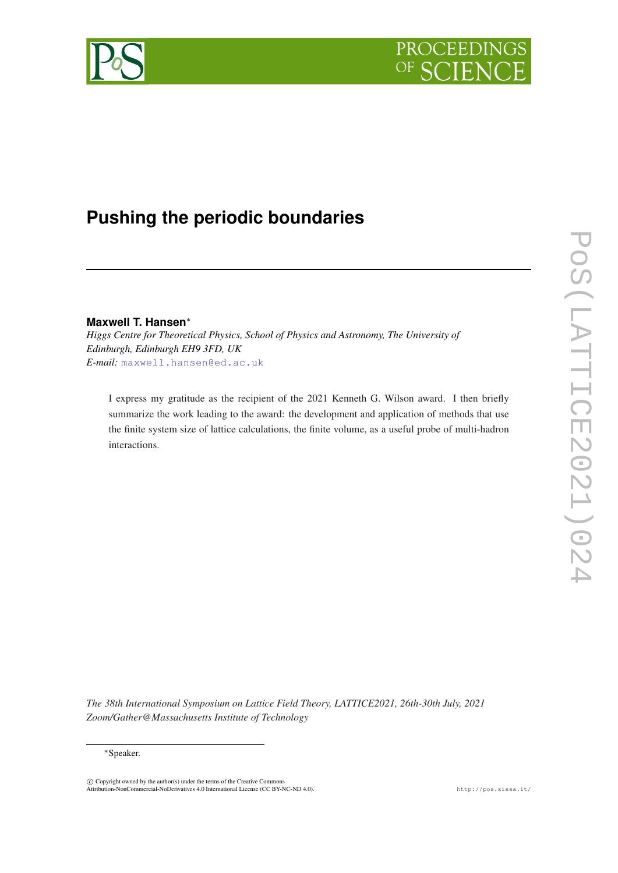



# **Pushing the periodic boundaries**

**Maxwell T. Hansen**<sup>∗</sup>

*Higgs Centre for Theoretical Physics, School of Physics and Astronomy, The University of Edinburgh, Edinburgh EH9 3FD, UK E-mail:* [maxwell.hansen@ed.ac.uk](mailto:maxwell.hansen@ed.ac.uk)

I express my gratitude as the recipient of the 2021 Kenneth G. Wilson award. I then briefly summarize the work leading to the award: the development and application of methods that use the finite system size of lattice calculations, the finite volume, as a useful probe of multi-hadron interactions.

*The 38th International Symposium on Lattice Field Theory, LATTICE2021, 26th-30th July, 2021 Zoom/Gather@Massachusetts Institute of Technology*

<sup>∗</sup>Speaker.

 $\circled{c}$  Copyright owned by the author(s) under the terms of the Creative Commons Attribution-NonCommercial-NoDerivatives 4.0 International License (CC BY-NC-ND 4.0). http://pos.sissa.it/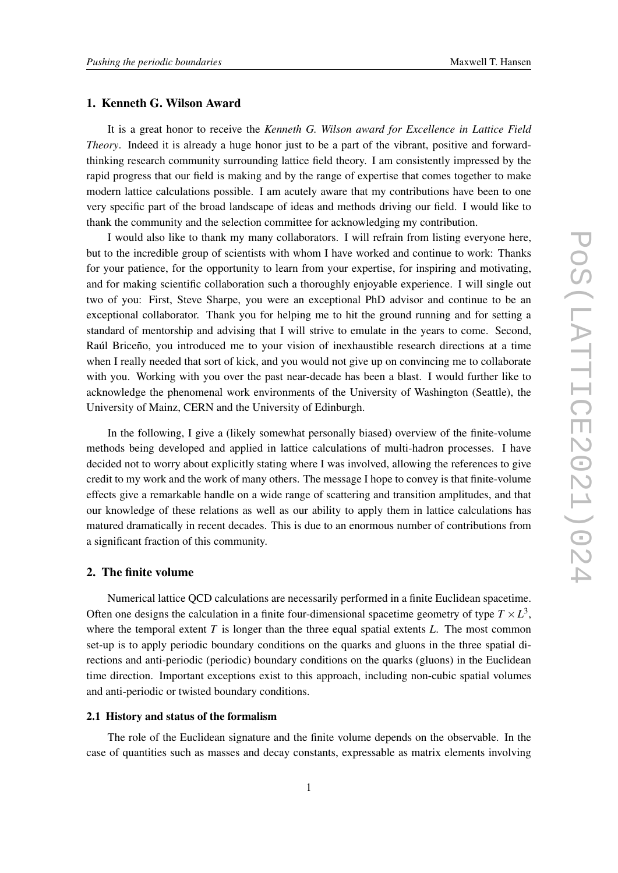# 1. Kenneth G. Wilson Award

It is a great honor to receive the *Kenneth G. Wilson award for Excellence in Lattice Field Theory*. Indeed it is already a huge honor just to be a part of the vibrant, positive and forwardthinking research community surrounding lattice field theory. I am consistently impressed by the rapid progress that our field is making and by the range of expertise that comes together to make modern lattice calculations possible. I am acutely aware that my contributions have been to one very specific part of the broad landscape of ideas and methods driving our field. I would like to thank the community and the selection committee for acknowledging my contribution.

I would also like to thank my many collaborators. I will refrain from listing everyone here, but to the incredible group of scientists with whom I have worked and continue to work: Thanks for your patience, for the opportunity to learn from your expertise, for inspiring and motivating, and for making scientific collaboration such a thoroughly enjoyable experience. I will single out two of you: First, Steve Sharpe, you were an exceptional PhD advisor and continue to be an exceptional collaborator. Thank you for helping me to hit the ground running and for setting a standard of mentorship and advising that I will strive to emulate in the years to come. Second, Raúl Briceño, you introduced me to your vision of inexhaustible research directions at a time when I really needed that sort of kick, and you would not give up on convincing me to collaborate with you. Working with you over the past near-decade has been a blast. I would further like to acknowledge the phenomenal work environments of the University of Washington (Seattle), the University of Mainz, CERN and the University of Edinburgh.

In the following, I give a (likely somewhat personally biased) overview of the finite-volume methods being developed and applied in lattice calculations of multi-hadron processes. I have decided not to worry about explicitly stating where I was involved, allowing the references to give credit to my work and the work of many others. The message I hope to convey is that finite-volume effects give a remarkable handle on a wide range of scattering and transition amplitudes, and that our knowledge of these relations as well as our ability to apply them in lattice calculations has matured dramatically in recent decades. This is due to an enormous number of contributions from a significant fraction of this community.

# 2. The finite volume

Numerical lattice QCD calculations are necessarily performed in a finite Euclidean spacetime. Often one designs the calculation in a finite four-dimensional spacetime geometry of type  $T \times L^3$ , where the temporal extent *T* is longer than the three equal spatial extents *L*. The most common set-up is to apply periodic boundary conditions on the quarks and gluons in the three spatial directions and anti-periodic (periodic) boundary conditions on the quarks (gluons) in the Euclidean time direction. Important exceptions exist to this approach, including non-cubic spatial volumes and anti-periodic or twisted boundary conditions.

#### 2.1 History and status of the formalism

The role of the Euclidean signature and the finite volume depends on the observable. In the case of quantities such as masses and decay constants, expressable as matrix elements involving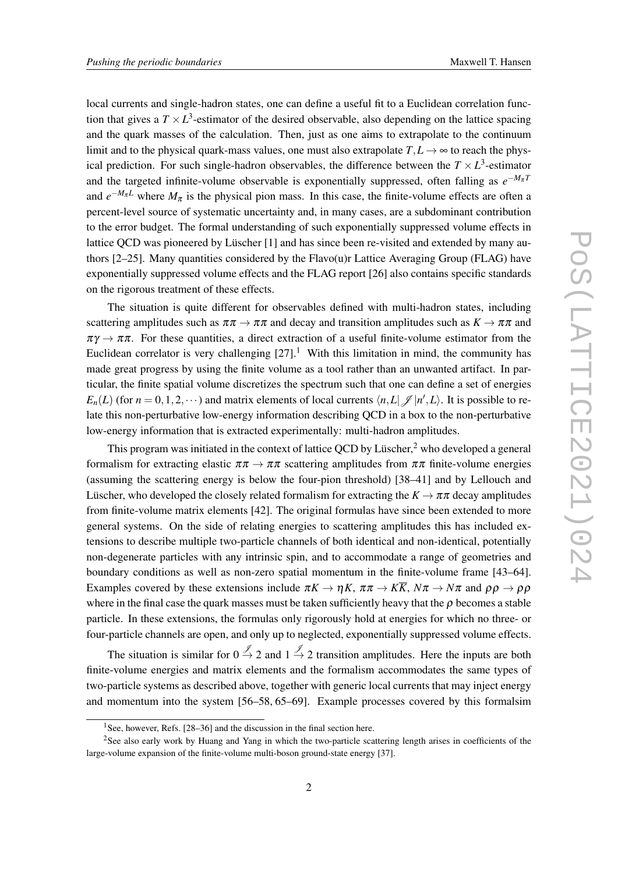local currents and single-hadron states, one can define a useful fit to a Euclidean correlation function that gives a  $T \times L^3$ -estimator of the desired observable, also depending on the lattice spacing and the quark masses of the calculation. Then, just as one aims to extrapolate to the continuum limit and to the physical quark-mass values, one must also extrapolate  $T, L \rightarrow \infty$  to reach the physical prediction. For such single-hadron observables, the difference between the  $T \times L^3$ -estimator and the targeted infinite-volume observable is exponentially suppressed, often falling as  $e^{-M_{\pi}T}$ and  $e^{-M_{\pi}L}$  where  $M_{\pi}$  is the physical pion mass. In this case, the finite-volume effects are often a percent-level source of systematic uncertainty and, in many cases, are a subdominant contribution to the error budget. The formal understanding of such exponentially suppressed volume effects in lattice QCD was pioneered by Lüscher [1] and has since been re-visited and extended by many authors  $[2-25]$ . Many quantities considered by the Flavo(u)r Lattice Averaging Group (FLAG) have exponentially suppressed volume effects and the FLAG report [26] also contains specific standards on the rigorous treatment of these effects.

The situation is quite different for observables defined with multi-hadron states, including scattering amplitudes such as  $\pi \pi \to \pi \pi$  and decay and transition amplitudes such as  $K \to \pi \pi$  and  $\pi\gamma \to \pi\pi$ . For these quantities, a direct extraction of a useful finite-volume estimator from the Euclidean correlator is very challenging  $[27]$ <sup>1</sup>. With this limitation in mind, the community has made great progress by using the finite volume as a tool rather than an unwanted artifact. In particular, the finite spatial volume discretizes the spectrum such that one can define a set of energies  $E_n(L)$  (for  $n = 0, 1, 2, \dots$ ) and matrix elements of local currents  $\langle n, L | \mathcal{J} | n', L \rangle$ . It is possible to relate this non-perturbative low-energy information describing QCD in a box to the non-perturbative low-energy information that is extracted experimentally: multi-hadron amplitudes.

This program was initiated in the context of lattice QCD by Lüscher,<sup>2</sup> who developed a general formalism for extracting elastic  $\pi \pi \to \pi \pi$  scattering amplitudes from  $\pi \pi$  finite-volume energies (assuming the scattering energy is below the four-pion threshold) [38–41] and by Lellouch and Lüscher, who developed the closely related formalism for extracting the  $K \to \pi \pi$  decay amplitudes from finite-volume matrix elements [42]. The original formulas have since been extended to more general systems. On the side of relating energies to scattering amplitudes this has included extensions to describe multiple two-particle channels of both identical and non-identical, potentially non-degenerate particles with any intrinsic spin, and to accommodate a range of geometries and boundary conditions as well as non-zero spatial momentum in the finite-volume frame [43–64]. Examples covered by these extensions include  $\pi K \to \eta K$ ,  $\pi \pi \to K\overline{K}$ ,  $N\pi \to N\pi$  and  $\rho \rho \to \rho \rho$ where in the final case the quark masses must be taken sufficiently heavy that the  $\rho$  becomes a stable particle. In these extensions, the formulas only rigorously hold at energies for which no three- or four-particle channels are open, and only up to neglected, exponentially suppressed volume effects.

The situation is similar for  $0 \stackrel{\sqrt{5}}{\rightarrow} 2$  and  $1 \stackrel{\sqrt{5}}{\rightarrow} 2$  transition amplitudes. Here the inputs are both finite-volume energies and matrix elements and the formalism accommodates the same types of two-particle systems as described above, together with generic local currents that may inject energy and momentum into the system [56–58, 65–69]. Example processes covered by this formalsim

<sup>&</sup>lt;sup>1</sup>See, however, Refs. [28–36] and the discussion in the final section here.

<sup>&</sup>lt;sup>2</sup>See also early work by Huang and Yang in which the two-particle scattering length arises in coefficients of the large-volume expansion of the finite-volume multi-boson ground-state energy [37].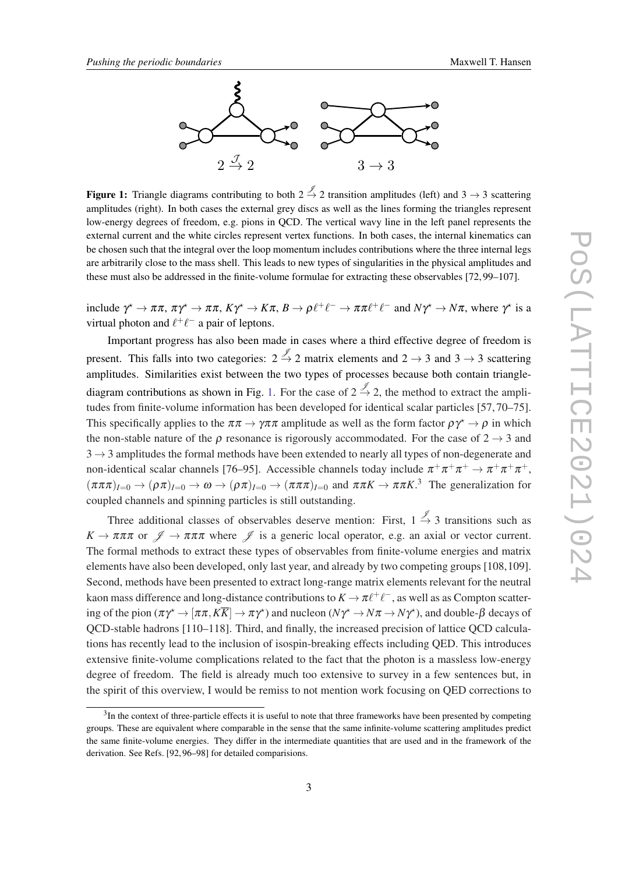<span id="page-3-0"></span>

**Figure 1:** Triangle diagrams contributing to both  $2 \stackrel{\circ}{\rightarrow} 2$  transition amplitudes (left) and  $3 \rightarrow 3$  scattering amplitudes (right). In both cases the external grey discs as well as the lines forming the triangles represent low-energy degrees of freedom, e.g. pions in QCD. The vertical wavy line in the left panel represents the external current and the white circles represent vertex functions. In both cases, the internal kinematics can be chosen such that the integral over the loop momentum includes contributions where the three internal legs are arbitrarily close to the mass shell. This leads to new types of singularities in the physical amplitudes and these must also be addressed in the finite-volume formulae for extracting these observables [72, 99–107].

include  $\gamma^* \to \pi \pi$ ,  $\pi \gamma^* \to \pi \pi$ ,  $K \gamma^* \to K \pi$ ,  $B \to \rho \ell^+ \ell^- \to \pi \pi \ell^+ \ell^-$  and  $N \gamma^* \to N \pi$ , where  $\gamma^*$  is a virtual photon and  $\ell^+\ell^-$  a pair of leptons.

Important progress has also been made in cases where a third effective degree of freedom is present. This falls into two categories:  $2 \stackrel{\ell}{\rightarrow} 2$  matrix elements and  $2 \rightarrow 3$  and  $3 \rightarrow 3$  scattering amplitudes. Similarities exist between the two types of processes because both contain trianglediagram contributions as shown in Fig. 1. For the case of  $2 \stackrel{\ell}{\rightarrow} 2$ , the method to extract the amplitudes from finite-volume information has been developed for identical scalar particles [57, 70–75]. This specifically applies to the  $\pi\pi \to \gamma\pi\pi$  amplitude as well as the form factor  $\rho\gamma^* \to \rho$  in which the non-stable nature of the  $\rho$  resonance is rigorously accommodated. For the case of  $2 \rightarrow 3$  and  $3 \rightarrow 3$  amplitudes the formal methods have been extended to nearly all types of non-degenerate and non-identical scalar channels [76–95]. Accessible channels today include  $\pi^+\pi^+\pi^+ \to \pi^+\pi^+\pi^+$ ,  $(\pi \pi \pi)_{I=0} \to (\rho \pi)_{I=0} \to \omega \to (\rho \pi)_{I=0} \to (\pi \pi \pi)_{I=0}$  and  $\pi \pi K \to \pi \pi K$ <sup>3</sup>. The generalization for coupled channels and spinning particles is still outstanding.

Three additional classes of observables deserve mention: First,  $1 \stackrel{\mathscr{J}}{\rightarrow} 3$  transitions such as  $K \to \pi \pi \pi$  or  $\mathscr{J} \to \pi \pi \pi$  where  $\mathscr{J}$  is a generic local operator, e.g. an axial or vector current. The formal methods to extract these types of observables from finite-volume energies and matrix elements have also been developed, only last year, and already by two competing groups [108,109]. Second, methods have been presented to extract long-range matrix elements relevant for the neutral kaon mass difference and long-distance contributions to  $K \to \pi \ell^+ \ell^-$ , as well as as Compton scattering of the pion  $(\pi \gamma^* \to [\pi \pi, K\overline{K}] \to \pi \gamma^*)$  and nucleon  $(N\gamma^* \to N\pi \to N\gamma^*)$ , and double- $\beta$  decays of QCD-stable hadrons [110–118]. Third, and finally, the increased precision of lattice QCD calculations has recently lead to the inclusion of isospin-breaking effects including QED. This introduces extensive finite-volume complications related to the fact that the photon is a massless low-energy degree of freedom. The field is already much too extensive to survey in a few sentences but, in the spirit of this overview, I would be remiss to not mention work focusing on QED corrections to

<sup>&</sup>lt;sup>3</sup>In the context of three-particle effects it is useful to note that three frameworks have been presented by competing groups. These are equivalent where comparable in the sense that the same infinite-volume scattering amplitudes predict the same finite-volume energies. They differ in the intermediate quantities that are used and in the framework of the derivation. See Refs. [92, 96–98] for detailed comparisions.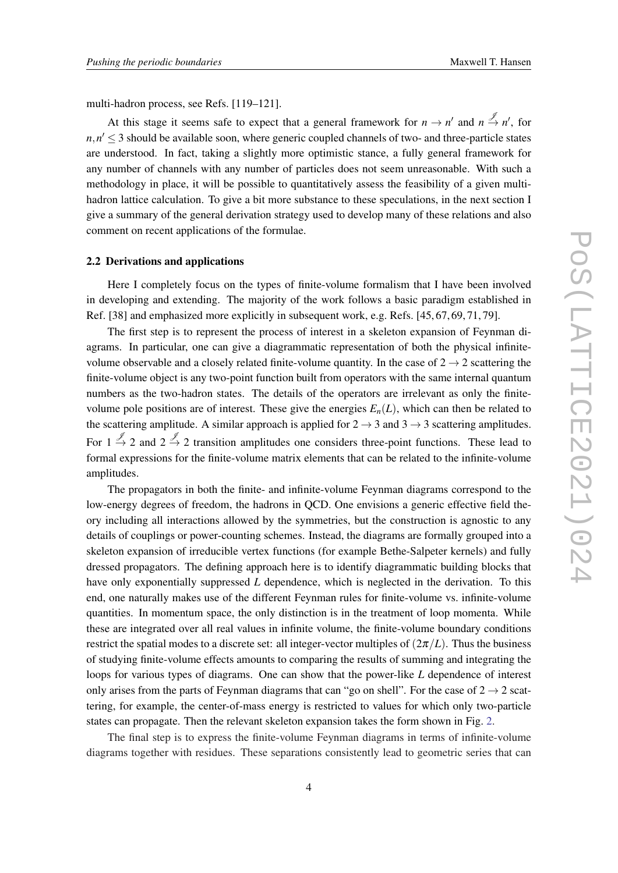multi-hadron process, see Refs. [119–121].

At this stage it seems safe to expect that a general framework for  $n \to n'$  and  $n \stackrel{g}{\to} n'$ , for  $n, n' \leq 3$  should be available soon, where generic coupled channels of two- and three-particle states are understood. In fact, taking a slightly more optimistic stance, a fully general framework for any number of channels with any number of particles does not seem unreasonable. With such a methodology in place, it will be possible to quantitatively assess the feasibility of a given multihadron lattice calculation. To give a bit more substance to these speculations, in the next section I give a summary of the general derivation strategy used to develop many of these relations and also comment on recent applications of the formulae.

#### 2.2 Derivations and applications

Here I completely focus on the types of finite-volume formalism that I have been involved in developing and extending. The majority of the work follows a basic paradigm established in Ref. [38] and emphasized more explicitly in subsequent work, e.g. Refs. [45, 67, 69, 71, 79].

The first step is to represent the process of interest in a skeleton expansion of Feynman diagrams. In particular, one can give a diagrammatic representation of both the physical infinitevolume observable and a closely related finite-volume quantity. In the case of  $2 \rightarrow 2$  scattering the finite-volume object is any two-point function built from operators with the same internal quantum numbers as the two-hadron states. The details of the operators are irrelevant as only the finitevolume pole positions are of interest. These give the energies  $E_n(L)$ , which can then be related to the scattering amplitude. A similar approach is applied for  $2 \rightarrow 3$  and  $3 \rightarrow 3$  scattering amplitudes. For  $1 \stackrel{\mathcal{J}}{\rightarrow} 2$  and  $2 \stackrel{\mathcal{J}}{\rightarrow} 2$  transition amplitudes one considers three-point functions. These lead to formal expressions for the finite-volume matrix elements that can be related to the infinite-volume amplitudes.

The propagators in both the finite- and infinite-volume Feynman diagrams correspond to the low-energy degrees of freedom, the hadrons in QCD. One envisions a generic effective field theory including all interactions allowed by the symmetries, but the construction is agnostic to any details of couplings or power-counting schemes. Instead, the diagrams are formally grouped into a skeleton expansion of irreducible vertex functions (for example Bethe-Salpeter kernels) and fully dressed propagators. The defining approach here is to identify diagrammatic building blocks that have only exponentially suppressed *L* dependence, which is neglected in the derivation. To this end, one naturally makes use of the different Feynman rules for finite-volume vs. infinite-volume quantities. In momentum space, the only distinction is in the treatment of loop momenta. While these are integrated over all real values in infinite volume, the finite-volume boundary conditions restrict the spatial modes to a discrete set: all integer-vector multiples of  $(2\pi/L)$ . Thus the business of studying finite-volume effects amounts to comparing the results of summing and integrating the loops for various types of diagrams. One can show that the power-like *L* dependence of interest only arises from the parts of Feynman diagrams that can "go on shell". For the case of  $2 \rightarrow 2$  scattering, for example, the center-of-mass energy is restricted to values for which only two-particle states can propagate. Then the relevant skeleton expansion takes the form shown in Fig. [2](#page-5-0).

The final step is to express the finite-volume Feynman diagrams in terms of infinite-volume diagrams together with residues. These separations consistently lead to geometric series that can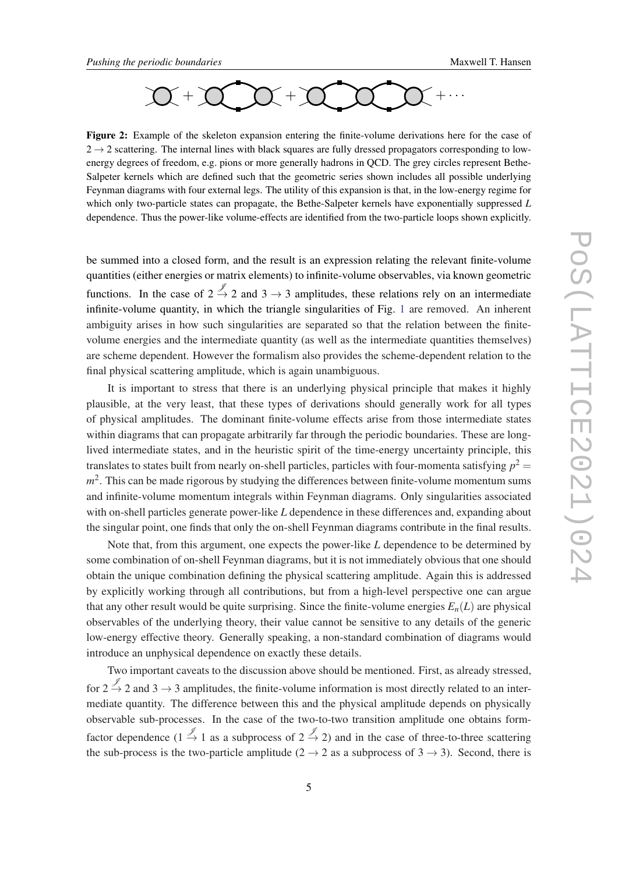<span id="page-5-0"></span>

Figure 2: Example of the skeleton expansion entering the finite-volume derivations here for the case of  $2 \rightarrow 2$  scattering. The internal lines with black squares are fully dressed propagators corresponding to lowenergy degrees of freedom, e.g. pions or more generally hadrons in QCD. The grey circles represent Bethe-Salpeter kernels which are defined such that the geometric series shown includes all possible underlying Feynman diagrams with four external legs. The utility of this expansion is that, in the low-energy regime for which only two-particle states can propagate, the Bethe-Salpeter kernels have exponentially suppressed *L* dependence. Thus the power-like volume-effects are identified from the two-particle loops shown explicitly.

be summed into a closed form, and the result is an expression relating the relevant finite-volume quantities (either energies or matrix elements) to infinite-volume observables, via known geometric functions. In the case of  $2 \stackrel{\mathscr{J}}{\rightarrow} 2$  and  $3 \rightarrow 3$  amplitudes, these relations rely on an intermediate infinite-volume quantity, in which the triangle singularities of Fig. [1](#page-3-0) are removed. An inherent ambiguity arises in how such singularities are separated so that the relation between the finitevolume energies and the intermediate quantity (as well as the intermediate quantities themselves) are scheme dependent. However the formalism also provides the scheme-dependent relation to the final physical scattering amplitude, which is again unambiguous.

It is important to stress that there is an underlying physical principle that makes it highly plausible, at the very least, that these types of derivations should generally work for all types of physical amplitudes. The dominant finite-volume effects arise from those intermediate states within diagrams that can propagate arbitrarily far through the periodic boundaries. These are longlived intermediate states, and in the heuristic spirit of the time-energy uncertainty principle, this translates to states built from nearly on-shell particles, particles with four-momenta satisfying  $p^2$  = m<sup>2</sup>. This can be made rigorous by studying the differences between finite-volume momentum sums and infinite-volume momentum integrals within Feynman diagrams. Only singularities associated with on-shell particles generate power-like *L* dependence in these differences and, expanding about the singular point, one finds that only the on-shell Feynman diagrams contribute in the final results.

Note that, from this argument, one expects the power-like *L* dependence to be determined by some combination of on-shell Feynman diagrams, but it is not immediately obvious that one should obtain the unique combination defining the physical scattering amplitude. Again this is addressed by explicitly working through all contributions, but from a high-level perspective one can argue that any other result would be quite surprising. Since the finite-volume energies  $E_n(L)$  are physical observables of the underlying theory, their value cannot be sensitive to any details of the generic low-energy effective theory. Generally speaking, a non-standard combination of diagrams would introduce an unphysical dependence on exactly these details.

Two important caveats to the discussion above should be mentioned. First, as already stressed, for  $2 \stackrel{\mathscr{J}}{\rightarrow} 2$  and  $3 \rightarrow 3$  amplitudes, the finite-volume information is most directly related to an intermediate quantity. The difference between this and the physical amplitude depends on physically observable sub-processes. In the case of the two-to-two transition amplitude one obtains formfactor dependence (1  $\stackrel{\mathscr{J}}{\rightarrow}$  1 as a subprocess of 2  $\stackrel{\mathscr{J}}{\rightarrow}$  2) and in the case of three-to-three scattering the sub-process is the two-particle amplitude ( $2 \rightarrow 2$  as a subprocess of  $3 \rightarrow 3$ ). Second, there is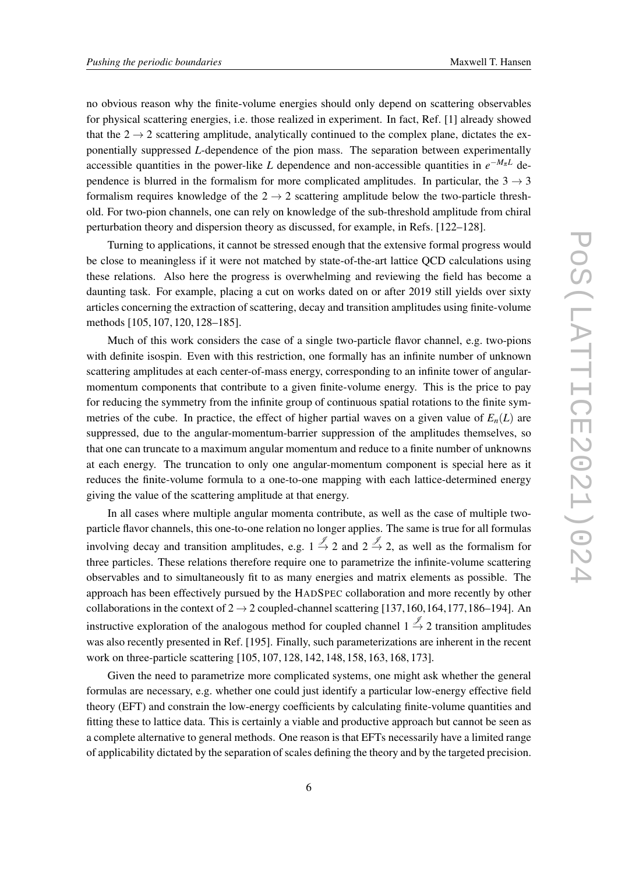no obvious reason why the finite-volume energies should only depend on scattering observables for physical scattering energies, i.e. those realized in experiment. In fact, Ref. [1] already showed that the  $2 \rightarrow 2$  scattering amplitude, analytically continued to the complex plane, dictates the exponentially suppressed *L*-dependence of the pion mass. The separation between experimentally accessible quantities in the power-like *L* dependence and non-accessible quantities in *e* <sup>−</sup>*M*π*<sup>L</sup>* dependence is blurred in the formalism for more complicated amplitudes. In particular, the  $3 \rightarrow 3$ formalism requires knowledge of the  $2 \rightarrow 2$  scattering amplitude below the two-particle threshold. For two-pion channels, one can rely on knowledge of the sub-threshold amplitude from chiral perturbation theory and dispersion theory as discussed, for example, in Refs. [122–128].

Turning to applications, it cannot be stressed enough that the extensive formal progress would be close to meaningless if it were not matched by state-of-the-art lattice QCD calculations using these relations. Also here the progress is overwhelming and reviewing the field has become a daunting task. For example, placing a cut on works dated on or after 2019 still yields over sixty articles concerning the extraction of scattering, decay and transition amplitudes using finite-volume methods [105, 107, 120, 128–185].

Much of this work considers the case of a single two-particle flavor channel, e.g. two-pions with definite isospin. Even with this restriction, one formally has an infinite number of unknown scattering amplitudes at each center-of-mass energy, corresponding to an infinite tower of angularmomentum components that contribute to a given finite-volume energy. This is the price to pay for reducing the symmetry from the infinite group of continuous spatial rotations to the finite symmetries of the cube. In practice, the effect of higher partial waves on a given value of  $E_n(L)$  are suppressed, due to the angular-momentum-barrier suppression of the amplitudes themselves, so that one can truncate to a maximum angular momentum and reduce to a finite number of unknowns at each energy. The truncation to only one angular-momentum component is special here as it reduces the finite-volume formula to a one-to-one mapping with each lattice-determined energy giving the value of the scattering amplitude at that energy.

In all cases where multiple angular momenta contribute, as well as the case of multiple twoparticle flavor channels, this one-to-one relation no longer applies. The same is true for all formulas involving decay and transition amplitudes, e.g.  $1 \stackrel{\mathscr{J}}{\rightarrow} 2$  and  $2 \stackrel{\mathscr{J}}{\rightarrow} 2$ , as well as the formalism for three particles. These relations therefore require one to parametrize the infinite-volume scattering observables and to simultaneously fit to as many energies and matrix elements as possible. The approach has been effectively pursued by the HADSPEC collaboration and more recently by other collaborations in the context of  $2 \rightarrow 2$  coupled-channel scattering [137,160,164,177,186–194]. An instructive exploration of the analogous method for coupled channel  $1 \stackrel{\ell}{\rightarrow} 2$  transition amplitudes was also recently presented in Ref. [195]. Finally, such parameterizations are inherent in the recent work on three-particle scattering [105, 107, 128, 142, 148, 158, 163, 168, 173].

Given the need to parametrize more complicated systems, one might ask whether the general formulas are necessary, e.g. whether one could just identify a particular low-energy effective field theory (EFT) and constrain the low-energy coefficients by calculating finite-volume quantities and fitting these to lattice data. This is certainly a viable and productive approach but cannot be seen as a complete alternative to general methods. One reason is that EFTs necessarily have a limited range of applicability dictated by the separation of scales defining the theory and by the targeted precision.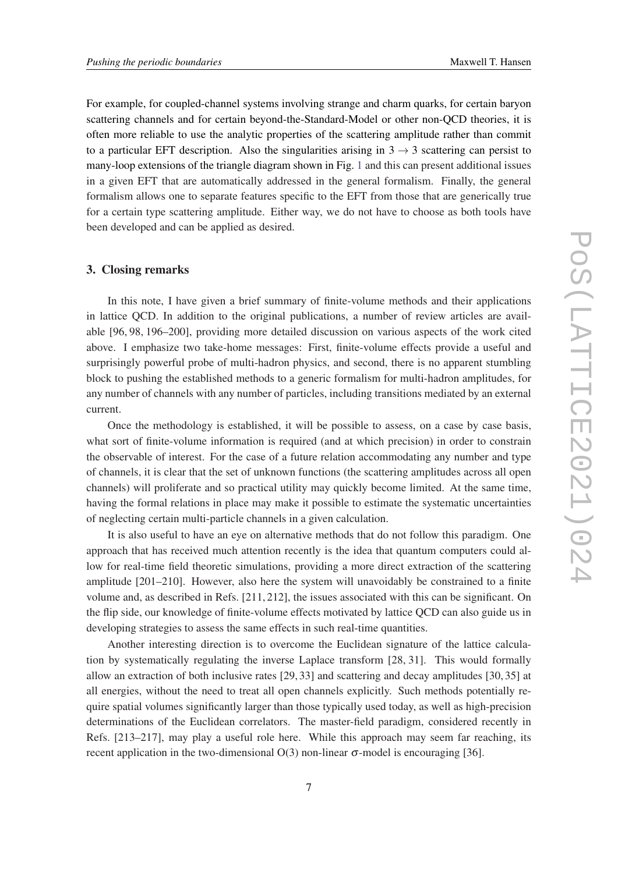For example, for coupled-channel systems involving strange and charm quarks, for certain baryon scattering channels and for certain beyond-the-Standard-Model or other non-QCD theories, it is often more reliable to use the analytic properties of the scattering amplitude rather than commit to a particular EFT description. Also the singularities arising in  $3 \rightarrow 3$  scattering can persist to many-loop extensions of the triangle diagram shown in Fig. [1](#page-3-0) and this can present additional issues in a given EFT that are automatically addressed in the general formalism. Finally, the general formalism allows one to separate features specific to the EFT from those that are generically true for a certain type scattering amplitude. Either way, we do not have to choose as both tools have been developed and can be applied as desired.

### 3. Closing remarks

In this note, I have given a brief summary of finite-volume methods and their applications in lattice QCD. In addition to the original publications, a number of review articles are available [96, 98, 196–200], providing more detailed discussion on various aspects of the work cited above. I emphasize two take-home messages: First, finite-volume effects provide a useful and surprisingly powerful probe of multi-hadron physics, and second, there is no apparent stumbling block to pushing the established methods to a generic formalism for multi-hadron amplitudes, for any number of channels with any number of particles, including transitions mediated by an external current.

Once the methodology is established, it will be possible to assess, on a case by case basis, what sort of finite-volume information is required (and at which precision) in order to constrain the observable of interest. For the case of a future relation accommodating any number and type of channels, it is clear that the set of unknown functions (the scattering amplitudes across all open channels) will proliferate and so practical utility may quickly become limited. At the same time, having the formal relations in place may make it possible to estimate the systematic uncertainties of neglecting certain multi-particle channels in a given calculation.

It is also useful to have an eye on alternative methods that do not follow this paradigm. One approach that has received much attention recently is the idea that quantum computers could allow for real-time field theoretic simulations, providing a more direct extraction of the scattering amplitude [201–210]. However, also here the system will unavoidably be constrained to a finite volume and, as described in Refs. [211, 212], the issues associated with this can be significant. On the flip side, our knowledge of finite-volume effects motivated by lattice QCD can also guide us in developing strategies to assess the same effects in such real-time quantities.

Another interesting direction is to overcome the Euclidean signature of the lattice calculation by systematically regulating the inverse Laplace transform [28, 31]. This would formally allow an extraction of both inclusive rates [29, 33] and scattering and decay amplitudes [30, 35] at all energies, without the need to treat all open channels explicitly. Such methods potentially require spatial volumes significantly larger than those typically used today, as well as high-precision determinations of the Euclidean correlators. The master-field paradigm, considered recently in Refs. [213–217], may play a useful role here. While this approach may seem far reaching, its recent application in the two-dimensional  $O(3)$  non-linear σ-model is encouraging [36].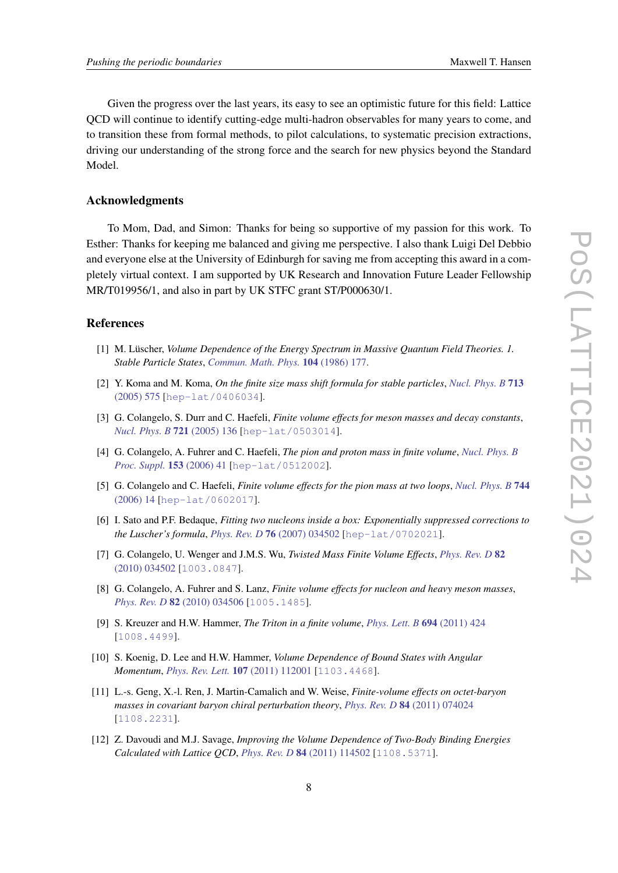Given the progress over the last years, its easy to see an optimistic future for this field: Lattice QCD will continue to identify cutting-edge multi-hadron observables for many years to come, and to transition these from formal methods, to pilot calculations, to systematic precision extractions, driving our understanding of the strong force and the search for new physics beyond the Standard Model.

## Acknowledgments

To Mom, Dad, and Simon: Thanks for being so supportive of my passion for this work. To Esther: Thanks for keeping me balanced and giving me perspective. I also thank Luigi Del Debbio and everyone else at the University of Edinburgh for saving me from accepting this award in a completely virtual context. I am supported by UK Research and Innovation Future Leader Fellowship MR/T019956/1, and also in part by UK STFC grant ST/P000630/1.

# References

- [1] M. Lüscher, *Volume Dependence of the Energy Spectrum in Massive Quantum Field Theories. 1. Stable Particle States*, *[Commun. Math. Phys.](https://doi.org/10.1007/BF01211589)* 104 (1986) 177.
- [2] Y. Koma and M. Koma, *On the finite size mass shift formula for stable particles*, *[Nucl. Phys. B](https://doi.org/10.1016/j.nuclphysb.2005.01.053)* 713 [\(2005\) 575](https://doi.org/10.1016/j.nuclphysb.2005.01.053) [[hep-lat/0406034](https://arxiv.org/abs/hep-lat/0406034)].
- [3] G. Colangelo, S. Durr and C. Haefeli, *Finite volume effects for meson masses and decay constants*, *[Nucl. Phys. B](https://doi.org/10.1016/j.nuclphysb.2005.05.015)* 721 (2005) 136 [[hep-lat/0503014](https://arxiv.org/abs/hep-lat/0503014)].
- [4] G. Colangelo, A. Fuhrer and C. Haefeli, *The pion and proton mass in finite volume*, *[Nucl. Phys. B](https://doi.org/10.1016/j.nuclphysbps.2006.01.004) [Proc. Suppl.](https://doi.org/10.1016/j.nuclphysbps.2006.01.004)* 153 (2006) 41 [[hep-lat/0512002](https://arxiv.org/abs/hep-lat/0512002)].
- [5] G. Colangelo and C. Haefeli, *Finite volume effects for the pion mass at two loops*, *[Nucl. Phys. B](https://doi.org/10.1016/j.nuclphysb.2006.03.010)* 744 [\(2006\) 14](https://doi.org/10.1016/j.nuclphysb.2006.03.010) [[hep-lat/0602017](https://arxiv.org/abs/hep-lat/0602017)].
- [6] I. Sato and P.F. Bedaque, *Fitting two nucleons inside a box: Exponentially suppressed corrections to the Luscher's formula*, *Phys. Rev. D* 76 [\(2007\) 034502](https://doi.org/10.1103/PhysRevD.76.034502) [[hep-lat/0702021](https://arxiv.org/abs/hep-lat/0702021)].
- [7] G. Colangelo, U. Wenger and J.M.S. Wu, *Twisted Mass Finite Volume Effects*, *[Phys. Rev. D](https://doi.org/10.1103/PhysRevD.82.034502)* 82 [\(2010\) 034502](https://doi.org/10.1103/PhysRevD.82.034502) [[1003.0847](https://arxiv.org/abs/1003.0847)].
- [8] G. Colangelo, A. Fuhrer and S. Lanz, *Finite volume effects for nucleon and heavy meson masses*, *Phys. Rev. D* 82 [\(2010\) 034506](https://doi.org/10.1103/PhysRevD.82.034506) [[1005.1485](https://arxiv.org/abs/1005.1485)].
- [9] S. Kreuzer and H.W. Hammer, *The Triton in a finite volume*, *[Phys. Lett. B](https://doi.org/10.1016/j.physletb.2010.10.003)* 694 (2011) 424 [[1008.4499](https://arxiv.org/abs/1008.4499)].
- [10] S. Koenig, D. Lee and H.W. Hammer, *Volume Dependence of Bound States with Angular Momentum*, *[Phys. Rev. Lett.](https://doi.org/10.1103/PhysRevLett.107.112001)* 107 (2011) 112001 [[1103.4468](https://arxiv.org/abs/1103.4468)].
- [11] L.-s. Geng, X.-l. Ren, J. Martin-Camalich and W. Weise, *Finite-volume effects on octet-baryon masses in covariant baryon chiral perturbation theory*, *Phys. Rev. D* 84 [\(2011\) 074024](https://doi.org/10.1103/PhysRevD.84.074024) [[1108.2231](https://arxiv.org/abs/1108.2231)].
- [12] Z. Davoudi and M.J. Savage, *Improving the Volume Dependence of Two-Body Binding Energies Calculated with Lattice QCD*, *Phys. Rev. D* 84 [\(2011\) 114502](https://doi.org/10.1103/PhysRevD.84.114502) [[1108.5371](https://arxiv.org/abs/1108.5371)].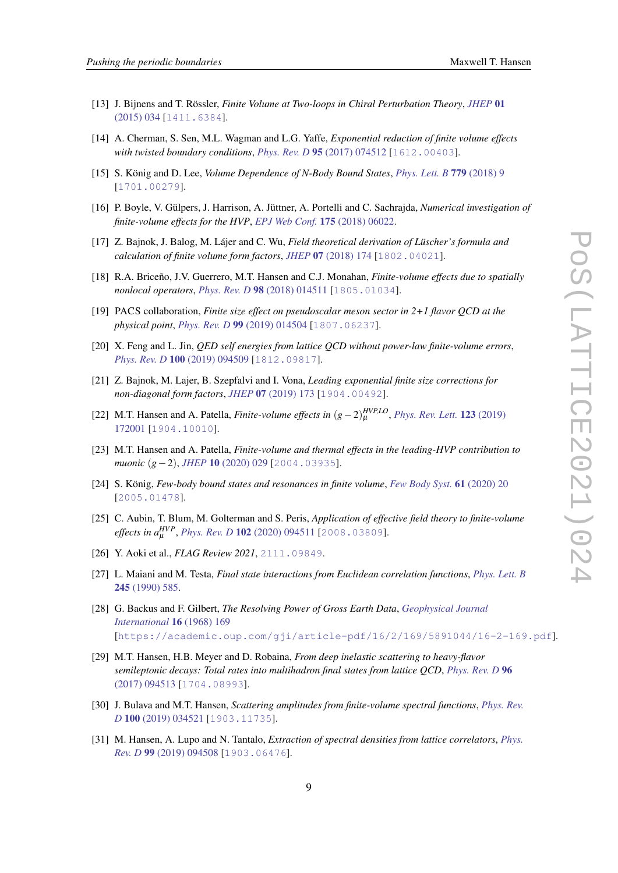- [13] J. Bijnens and T. Rössler, *Finite Volume at Two-loops in Chiral Perturbation Theory*, *[JHEP](https://doi.org/10.1007/JHEP01(2015)034)* 01 [\(2015\) 034](https://doi.org/10.1007/JHEP01(2015)034) [[1411.6384](https://arxiv.org/abs/1411.6384)].
- [14] A. Cherman, S. Sen, M.L. Wagman and L.G. Yaffe, *Exponential reduction of finite volume effects with twisted boundary conditions*, *Phys. Rev. D* 95 [\(2017\) 074512](https://doi.org/10.1103/PhysRevD.95.074512) [[1612.00403](https://arxiv.org/abs/1612.00403)].
- [15] S. König and D. Lee, *Volume Dependence of N-Body Bound States*, *[Phys. Lett. B](https://doi.org/10.1016/j.physletb.2018.01.060)* 779 (2018) 9 [[1701.00279](https://arxiv.org/abs/1701.00279)].
- [16] P. Boyle, V. Gülpers, J. Harrison, A. Jüttner, A. Portelli and C. Sachrajda, *Numerical investigation of finite-volume effects for the HVP*, *[EPJ Web Conf.](https://doi.org/10.1051/epjconf/201817506022)* 175 (2018) 06022.
- [17] Z. Bajnok, J. Balog, M. Lájer and C. Wu, *Field theoretical derivation of Lüscher's formula and calculation of finite volume form factors*, *JHEP* 07 [\(2018\) 174](https://doi.org/10.1007/JHEP07(2018)174) [[1802.04021](https://arxiv.org/abs/1802.04021)].
- [18] R.A. Briceño, J.V. Guerrero, M.T. Hansen and C.J. Monahan, *Finite-volume effects due to spatially nonlocal operators*, *Phys. Rev. D* 98 [\(2018\) 014511](https://doi.org/10.1103/PhysRevD.98.014511) [[1805.01034](https://arxiv.org/abs/1805.01034)].
- [19] PACS collaboration, *Finite size effect on pseudoscalar meson sector in 2+1 flavor QCD at the physical point*, *Phys. Rev. D* 99 [\(2019\) 014504](https://doi.org/10.1103/PhysRevD.99.014504) [[1807.06237](https://arxiv.org/abs/1807.06237)].
- [20] X. Feng and L. Jin, *QED self energies from lattice QCD without power-law finite-volume errors*, *Phys. Rev. D* 100 [\(2019\) 094509](https://doi.org/10.1103/PhysRevD.100.094509) [[1812.09817](https://arxiv.org/abs/1812.09817)].
- [21] Z. Bajnok, M. Lajer, B. Szepfalvi and I. Vona, *Leading exponential finite size corrections for non-diagonal form factors*, *JHEP* 07 [\(2019\) 173](https://doi.org/10.1007/JHEP07(2019)173) [[1904.00492](https://arxiv.org/abs/1904.00492)].
- [22] M.T. Hansen and A. Patella, *Finite-volume effects in*  $(g-2)_{\mu}^{HVP,LO}$ , *[Phys. Rev. Lett.](https://doi.org/10.1103/PhysRevLett.123.172001)* **123** (2019) [172001](https://doi.org/10.1103/PhysRevLett.123.172001) [[1904.10010](https://arxiv.org/abs/1904.10010)].
- [23] M.T. Hansen and A. Patella, *Finite-volume and thermal effects in the leading-HVP contribution to muonic* (*g*−2), *JHEP* 10 [\(2020\) 029](https://doi.org/10.1007/JHEP10(2020)029) [[2004.03935](https://arxiv.org/abs/2004.03935)].
- [24] S. König, *Few-body bound states and resonances in finite volume*, *[Few Body Syst.](https://doi.org/10.1007/s00601-020-01550-8)* 61 (2020) 20 [[2005.01478](https://arxiv.org/abs/2005.01478)].
- [25] C. Aubin, T. Blum, M. Golterman and S. Peris, *Application of effective field theory to finite-volume effects in a<sup>HVP</sup>*, *Phys. Rev. D* **102** [\(2020\) 094511](https://doi.org/10.1103/PhysRevD.102.094511) [[2008.03809](https://arxiv.org/abs/2008.03809)].
- [26] Y. Aoki et al., *FLAG Review 2021*, [2111.09849](https://arxiv.org/abs/2111.09849).
- [27] L. Maiani and M. Testa, *Final state interactions from Euclidean correlation functions*, *[Phys. Lett. B](https://doi.org/10.1016/0370-2693(90)90695-3)* 245 [\(1990\) 585.](https://doi.org/10.1016/0370-2693(90)90695-3)
- [28] G. Backus and F. Gilbert, *The Resolving Power of Gross Earth Data*, *[Geophysical Journal](https://doi.org/10.1111/j.1365-246X.1968.tb00216.x) [International](https://doi.org/10.1111/j.1365-246X.1968.tb00216.x)* 16 (1968) 169 [[https://academic.oup.com/gji/article-pdf/16/2/169/5891044/16-2-169.pdf](https://arxiv.org/abs/https://academic.oup.com/gji/article-pdf/16/2/169/5891044/16-2-169.pdf)].
- [29] M.T. Hansen, H.B. Meyer and D. Robaina, *From deep inelastic scattering to heavy-flavor semileptonic decays: Total rates into multihadron final states from lattice QCD*, *[Phys. Rev. D](https://doi.org/10.1103/PhysRevD.96.094513)* 96 [\(2017\) 094513](https://doi.org/10.1103/PhysRevD.96.094513) [[1704.08993](https://arxiv.org/abs/1704.08993)].
- [30] J. Bulava and M.T. Hansen, *Scattering amplitudes from finite-volume spectral functions*, *[Phys. Rev.](https://doi.org/10.1103/PhysRevD.100.034521) D* 100 [\(2019\) 034521](https://doi.org/10.1103/PhysRevD.100.034521) [[1903.11735](https://arxiv.org/abs/1903.11735)].
- [31] M. Hansen, A. Lupo and N. Tantalo, *Extraction of spectral densities from lattice correlators*, *[Phys.](https://doi.org/10.1103/PhysRevD.99.094508) Rev. D* 99 [\(2019\) 094508](https://doi.org/10.1103/PhysRevD.99.094508) [[1903.06476](https://arxiv.org/abs/1903.06476)].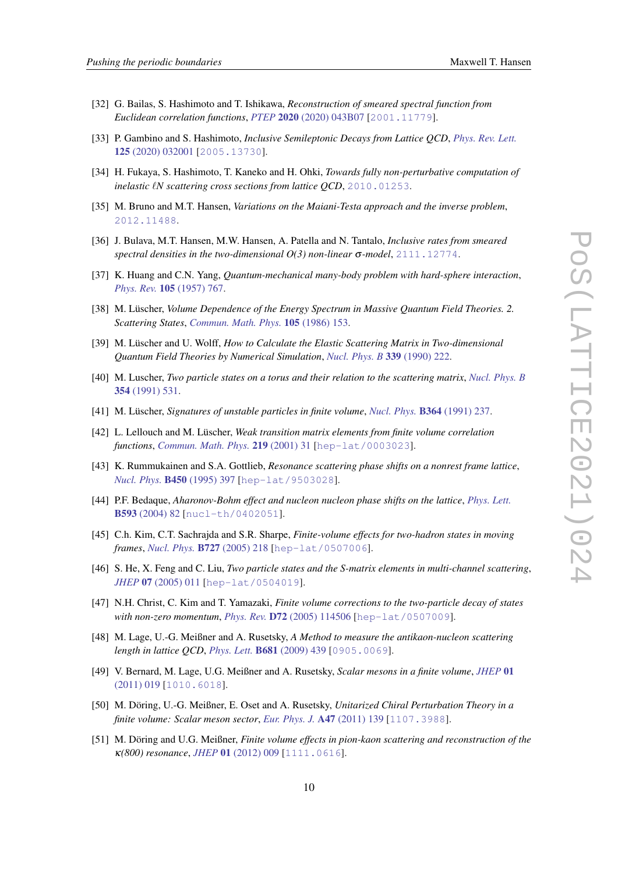- [32] G. Bailas, S. Hashimoto and T. Ishikawa, *Reconstruction of smeared spectral function from Euclidean correlation functions*, *PTEP* 2020 [\(2020\) 043B07](https://doi.org/10.1093/ptep/ptaa044) [[2001.11779](https://arxiv.org/abs/2001.11779)].
- [33] P. Gambino and S. Hashimoto, *Inclusive Semileptonic Decays from Lattice QCD*, *[Phys. Rev. Lett.](https://doi.org/10.1103/PhysRevLett.125.032001)* 125 [\(2020\) 032001](https://doi.org/10.1103/PhysRevLett.125.032001) [[2005.13730](https://arxiv.org/abs/2005.13730)].
- [34] H. Fukaya, S. Hashimoto, T. Kaneko and H. Ohki, *Towards fully non-perturbative computation of inelastic*  $\ell N$  *scattering cross sections from lattice QCD*, [2010.01253](https://arxiv.org/abs/2010.01253).
- [35] M. Bruno and M.T. Hansen, *Variations on the Maiani-Testa approach and the inverse problem*, [2012.11488](https://arxiv.org/abs/2012.11488).
- [36] J. Bulava, M.T. Hansen, M.W. Hansen, A. Patella and N. Tantalo, *Inclusive rates from smeared spectral densities in the two-dimensional O(3) non-linear* σ*-model*, [2111.12774](https://arxiv.org/abs/2111.12774).
- [37] K. Huang and C.N. Yang, *Quantum-mechanical many-body problem with hard-sphere interaction*, *Phys. Rev.* 105 [\(1957\) 767](https://doi.org/10.1103/PhysRev.105.767).
- [38] M. Lüscher, *Volume Dependence of the Energy Spectrum in Massive Quantum Field Theories. 2. Scattering States*, *[Commun. Math. Phys.](https://doi.org/10.1007/BF01211097)* 105 (1986) 153.
- [39] M. Lüscher and U. Wolff, *How to Calculate the Elastic Scattering Matrix in Two-dimensional Quantum Field Theories by Numerical Simulation*, *[Nucl. Phys. B](https://doi.org/10.1016/0550-3213(90)90540-T)* 339 (1990) 222.
- [40] M. Luscher, *Two particle states on a torus and their relation to the scattering matrix*, *[Nucl. Phys. B](https://doi.org/10.1016/0550-3213(91)90366-6)* 354 [\(1991\) 531.](https://doi.org/10.1016/0550-3213(91)90366-6)
- [41] M. Lüscher, *Signatures of unstable particles in finite volume*, *[Nucl. Phys.](https://doi.org/10.1016/0550-3213(91)90584-K)* B364 (1991) 237.
- [42] L. Lellouch and M. Lüscher, *Weak transition matrix elements from finite volume correlation functions*, *[Commun. Math. Phys.](https://doi.org/10.1007/s002200100410)* 219 (2001) 31 [[hep-lat/0003023](https://arxiv.org/abs/hep-lat/0003023)].
- [43] K. Rummukainen and S.A. Gottlieb, *Resonance scattering phase shifts on a nonrest frame lattice*, *[Nucl. Phys.](https://doi.org/10.1016/0550-3213(95)00313-H)* B450 (1995) 397 [[hep-lat/9503028](https://arxiv.org/abs/hep-lat/9503028)].
- [44] P.F. Bedaque, *Aharonov-Bohm effect and nucleon nucleon phase shifts on the lattice*, *[Phys. Lett.](https://doi.org/10.1016/j.physletb.2004.04.045)* B593 [\(2004\) 82](https://doi.org/10.1016/j.physletb.2004.04.045) [[nucl-th/0402051](https://arxiv.org/abs/nucl-th/0402051)].
- [45] C.h. Kim, C.T. Sachrajda and S.R. Sharpe, *Finite-volume effects for two-hadron states in moving frames*, *[Nucl. Phys.](https://doi.org/10.1016/j.nuclphysb.2005.08.029)* B727 (2005) 218 [[hep-lat/0507006](https://arxiv.org/abs/hep-lat/0507006)].
- [46] S. He, X. Feng and C. Liu, *Two particle states and the S-matrix elements in multi-channel scattering*, *JHEP* 07 [\(2005\) 011](https://doi.org/10.1088/1126-6708/2005/07/011) [[hep-lat/0504019](https://arxiv.org/abs/hep-lat/0504019)].
- [47] N.H. Christ, C. Kim and T. Yamazaki, *Finite volume corrections to the two-particle decay of states with non-zero momentum*, *Phys. Rev.* D72 [\(2005\) 114506](https://doi.org/10.1103/PhysRevD.72.114506) [[hep-lat/0507009](https://arxiv.org/abs/hep-lat/0507009)].
- [48] M. Lage, U.-G. Meißner and A. Rusetsky, *A Method to measure the antikaon-nucleon scattering length in lattice QCD*, *Phys. Lett.* B681 [\(2009\) 439](https://doi.org/10.1016/j.physletb.2009.10.055) [[0905.0069](https://arxiv.org/abs/0905.0069)].
- [49] V. Bernard, M. Lage, U.G. Meißner and A. Rusetsky, *Scalar mesons in a finite volume*, *[JHEP](https://doi.org/10.1007/JHEP01(2011)019)* 01 [\(2011\) 019](https://doi.org/10.1007/JHEP01(2011)019) [[1010.6018](https://arxiv.org/abs/1010.6018)].
- [50] M. Döring, U.-G. Meißner, E. Oset and A. Rusetsky, *Unitarized Chiral Perturbation Theory in a finite volume: Scalar meson sector*, *[Eur. Phys. J.](https://doi.org/10.1140/epja/i2011-11139-7)* A47 (2011) 139 [[1107.3988](https://arxiv.org/abs/1107.3988)].
- [51] M. Döring and U.G. Meißner, *Finite volume effects in pion-kaon scattering and reconstruction of the* κ*(800) resonance*, *JHEP* 01 [\(2012\) 009](https://doi.org/10.1007/JHEP01(2012)009) [[1111.0616](https://arxiv.org/abs/1111.0616)].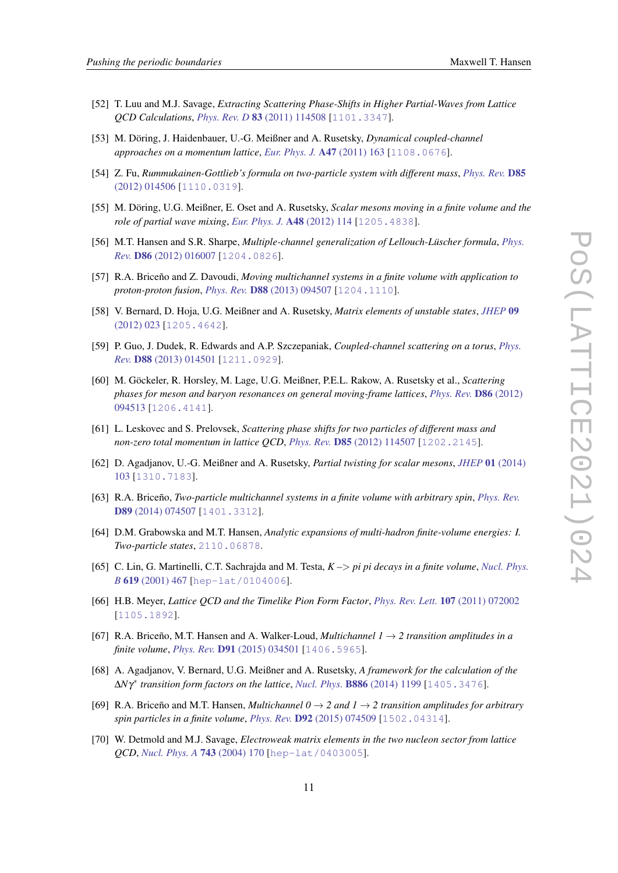- [52] T. Luu and M.J. Savage, *Extracting Scattering Phase-Shifts in Higher Partial-Waves from Lattice QCD Calculations*, *Phys. Rev. D* 83 [\(2011\) 114508](https://doi.org/10.1103/PhysRevD.83.114508) [[1101.3347](https://arxiv.org/abs/1101.3347)].
- [53] M. Döring, J. Haidenbauer, U.-G. Meißner and A. Rusetsky, *Dynamical coupled-channel approaches on a momentum lattice*, *[Eur. Phys. J.](https://doi.org/10.1140/epja/i2011-11163-7)* A47 (2011) 163 [[1108.0676](https://arxiv.org/abs/1108.0676)].
- [54] Z. Fu, *Rummukainen-Gottlieb's formula on two-particle system with different mass*, *[Phys. Rev.](https://doi.org/10.1103/PhysRevD.85.014506)* D85 [\(2012\) 014506](https://doi.org/10.1103/PhysRevD.85.014506) [[1110.0319](https://arxiv.org/abs/1110.0319)].
- [55] M. Döring, U.G. Meißner, E. Oset and A. Rusetsky, *Scalar mesons moving in a finite volume and the role of partial wave mixing*, *[Eur. Phys. J.](https://doi.org/10.1140/epja/i2012-12114-6)* A48 (2012) 114 [[1205.4838](https://arxiv.org/abs/1205.4838)].
- [56] M.T. Hansen and S.R. Sharpe, *Multiple-channel generalization of Lellouch-Lüscher formula*, *[Phys.](https://doi.org/10.1103/PhysRevD.86.016007) Rev.* D86 [\(2012\) 016007](https://doi.org/10.1103/PhysRevD.86.016007) [[1204.0826](https://arxiv.org/abs/1204.0826)].
- [57] R.A. Briceño and Z. Davoudi, *Moving multichannel systems in a finite volume with application to proton-proton fusion*, *Phys. Rev.* D88 [\(2013\) 094507](https://doi.org/10.1103/PhysRevD.88.094507) [[1204.1110](https://arxiv.org/abs/1204.1110)].
- [58] V. Bernard, D. Hoja, U.G. Meißner and A. Rusetsky, *Matrix elements of unstable states*, *[JHEP](https://doi.org/10.1007/JHEP09(2012)023)* 09 [\(2012\) 023](https://doi.org/10.1007/JHEP09(2012)023) [[1205.4642](https://arxiv.org/abs/1205.4642)].
- [59] P. Guo, J. Dudek, R. Edwards and A.P. Szczepaniak, *Coupled-channel scattering on a torus*, *[Phys.](https://doi.org/10.1103/PhysRevD.88.014501) Rev.* D88 [\(2013\) 014501](https://doi.org/10.1103/PhysRevD.88.014501) [[1211.0929](https://arxiv.org/abs/1211.0929)].
- [60] M. Göckeler, R. Horsley, M. Lage, U.G. Meißner, P.E.L. Rakow, A. Rusetsky et al., *Scattering phases for meson and baryon resonances on general moving-frame lattices*, *[Phys. Rev.](https://doi.org/10.1103/PhysRevD.86.094513)* D86 (2012) [094513](https://doi.org/10.1103/PhysRevD.86.094513) [[1206.4141](https://arxiv.org/abs/1206.4141)].
- [61] L. Leskovec and S. Prelovsek, *Scattering phase shifts for two particles of different mass and non-zero total momentum in lattice QCD*, *Phys. Rev.* D85 [\(2012\) 114507](https://doi.org/10.1103/PhysRevD.85.114507) [[1202.2145](https://arxiv.org/abs/1202.2145)].
- [62] D. Agadjanov, U.-G. Meißner and A. Rusetsky, *Partial twisting for scalar mesons*, *JHEP* 01 [\(2014\)](https://doi.org/10.1007/JHEP01(2014)103) [103](https://doi.org/10.1007/JHEP01(2014)103) [[1310.7183](https://arxiv.org/abs/1310.7183)].
- [63] R.A. Briceño, *Two-particle multichannel systems in a finite volume with arbitrary spin*, *[Phys. Rev.](https://doi.org/10.1103/PhysRevD.89.074507)* D89 [\(2014\) 074507](https://doi.org/10.1103/PhysRevD.89.074507) [[1401.3312](https://arxiv.org/abs/1401.3312)].
- [64] D.M. Grabowska and M.T. Hansen, *Analytic expansions of multi-hadron finite-volume energies: I. Two-particle states*, [2110.06878](https://arxiv.org/abs/2110.06878).
- [65] C. Lin, G. Martinelli, C.T. Sachrajda and M. Testa, *K –*> *pi pi decays in a finite volume*, *[Nucl. Phys.](https://doi.org/10.1016/S0550-3213(01)00495-3) B* 619 [\(2001\) 467](https://doi.org/10.1016/S0550-3213(01)00495-3) [[hep-lat/0104006](https://arxiv.org/abs/hep-lat/0104006)].
- [66] H.B. Meyer, *Lattice QCD and the Timelike Pion Form Factor*, *[Phys. Rev. Lett.](https://doi.org/10.1103/PhysRevLett.107.072002)* 107 (2011) 072002 [[1105.1892](https://arxiv.org/abs/1105.1892)].
- [67] R.A. Briceño, M.T. Hansen and A. Walker-Loud, *Multichannel 1* → *2 transition amplitudes in a finite volume*, *Phys. Rev.* D91 [\(2015\) 034501](https://doi.org/10.1103/PhysRevD.91.034501) [[1406.5965](https://arxiv.org/abs/1406.5965)].
- [68] A. Agadjanov, V. Bernard, U.G. Meißner and A. Rusetsky, *A framework for the calculation of the*  $ΔNγ<sup>*</sup>$  *transition form factors on the lattice*, *Nucl. Phys.* **B886** [\(2014\) 1199](https://doi.org/10.1016/j.nuclphysb.2014.07.023) [[1405.3476](https://arxiv.org/abs/1405.3476)].
- [69] R.A. Briceño and M.T. Hansen, *Multichannel*  $0 \rightarrow 2$  and  $1 \rightarrow 2$  transition amplitudes for arbitrary *spin particles in a finite volume*, *Phys. Rev.* D92 [\(2015\) 074509](https://doi.org/10.1103/PhysRevD.92.074509) [[1502.04314](https://arxiv.org/abs/1502.04314)].
- [70] W. Detmold and M.J. Savage, *Electroweak matrix elements in the two nucleon sector from lattice QCD*, *[Nucl. Phys. A](https://doi.org/10.1016/j.nuclphysa.2004.07.007)* 743 (2004) 170 [[hep-lat/0403005](https://arxiv.org/abs/hep-lat/0403005)].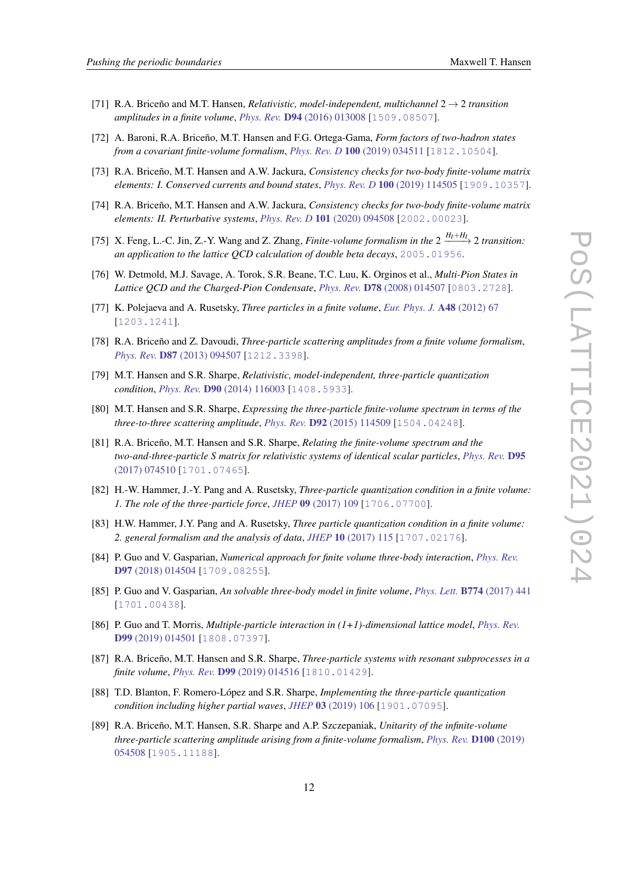- [71] R.A. Briceño and M.T. Hansen, *Relativistic, model-independent, multichannel* 2 → 2 *transition amplitudes in a finite volume*, *Phys. Rev.* D94 [\(2016\) 013008](https://doi.org/10.1103/PhysRevD.94.013008) [[1509.08507](https://arxiv.org/abs/1509.08507)].
- [72] A. Baroni, R.A. Briceño, M.T. Hansen and F.G. Ortega-Gama, *Form factors of two-hadron states from a covariant finite-volume formalism*, *Phys. Rev. D* 100 [\(2019\) 034511](https://doi.org/10.1103/PhysRevD.100.034511) [[1812.10504](https://arxiv.org/abs/1812.10504)].
- [73] R.A. Briceño, M.T. Hansen and A.W. Jackura, *Consistency checks for two-body finite-volume matrix elements: I. Conserved currents and bound states*, *Phys. Rev. D* 100 [\(2019\) 114505](https://doi.org/10.1103/PhysRevD.100.114505) [[1909.10357](https://arxiv.org/abs/1909.10357)].
- [74] R.A. Briceño, M.T. Hansen and A.W. Jackura, *Consistency checks for two-body finite-volume matrix elements: II. Perturbative systems*, *Phys. Rev. D* 101 [\(2020\) 094508](https://doi.org/10.1103/PhysRevD.101.094508) [[2002.00023](https://arxiv.org/abs/2002.00023)].
- [75] X. Feng, L.-C. Jin, Z.-Y. Wang and Z. Zhang, *Finite-volume formalism in the*  $2 \frac{H_I + H_I}{2}$  2 *transition*: *an application to the lattice QCD calculation of double beta decays*, [2005.01956](https://arxiv.org/abs/2005.01956).
- [76] W. Detmold, M.J. Savage, A. Torok, S.R. Beane, T.C. Luu, K. Orginos et al., *Multi-Pion States in Lattice QCD and the Charged-Pion Condensate*, *Phys. Rev.* D78 [\(2008\) 014507](https://doi.org/10.1103/PhysRevD.78.014507) [[0803.2728](https://arxiv.org/abs/0803.2728)].
- [77] K. Polejaeva and A. Rusetsky, *Three particles in a finite volume*, *[Eur. Phys. J.](https://doi.org/10.1140/epja/i2012-12067-8)* A48 (2012) 67 [[1203.1241](https://arxiv.org/abs/1203.1241)].
- [78] R.A. Briceño and Z. Davoudi, *Three-particle scattering amplitudes from a finite volume formalism*, *Phys. Rev.* D87 [\(2013\) 094507](https://doi.org/10.1103/PhysRevD.87.094507) [[1212.3398](https://arxiv.org/abs/1212.3398)].
- [79] M.T. Hansen and S.R. Sharpe, *Relativistic, model-independent, three-particle quantization condition*, *Phys. Rev.* D90 [\(2014\) 116003](https://doi.org/10.1103/PhysRevD.90.116003) [[1408.5933](https://arxiv.org/abs/1408.5933)].
- [80] M.T. Hansen and S.R. Sharpe, *Expressing the three-particle finite-volume spectrum in terms of the three-to-three scattering amplitude*, *Phys. Rev.* D92 [\(2015\) 114509](https://doi.org/10.1103/PhysRevD.92.114509) [[1504.04248](https://arxiv.org/abs/1504.04248)].
- [81] R.A. Briceño, M.T. Hansen and S.R. Sharpe, *Relating the finite-volume spectrum and the two-and-three-particle S matrix for relativistic systems of identical scalar particles*, *[Phys. Rev.](https://doi.org/10.1103/PhysRevD.95.074510)* D95 [\(2017\) 074510](https://doi.org/10.1103/PhysRevD.95.074510) [[1701.07465](https://arxiv.org/abs/1701.07465)].
- [82] H.-W. Hammer, J.-Y. Pang and A. Rusetsky, *Three-particle quantization condition in a finite volume: 1. The role of the three-particle force*, *JHEP* 09 [\(2017\) 109](https://doi.org/10.1007/JHEP09(2017)109) [[1706.07700](https://arxiv.org/abs/1706.07700)].
- [83] H.W. Hammer, J.Y. Pang and A. Rusetsky, *Three particle quantization condition in a finite volume: 2. general formalism and the analysis of data*, *JHEP* 10 [\(2017\) 115](https://doi.org/10.1007/JHEP10(2017)115) [[1707.02176](https://arxiv.org/abs/1707.02176)].
- [84] P. Guo and V. Gasparian, *Numerical approach for finite volume three-body interaction*, *[Phys. Rev.](https://doi.org/10.1103/PhysRevD.97.014504)* D97 [\(2018\) 014504](https://doi.org/10.1103/PhysRevD.97.014504) [[1709.08255](https://arxiv.org/abs/1709.08255)].
- [85] P. Guo and V. Gasparian, *An solvable three-body model in finite volume*, *Phys. Lett.* B774 [\(2017\) 441](https://doi.org/10.1016/j.physletb.2017.10.009) [[1701.00438](https://arxiv.org/abs/1701.00438)].
- [86] P. Guo and T. Morris, *Multiple-particle interaction in (1+1)-dimensional lattice model*, *[Phys. Rev.](https://doi.org/10.1103/PhysRevD.99.014501)* D99 [\(2019\) 014501](https://doi.org/10.1103/PhysRevD.99.014501) [[1808.07397](https://arxiv.org/abs/1808.07397)].
- [87] R.A. Briceño, M.T. Hansen and S.R. Sharpe, *Three-particle systems with resonant subprocesses in a finite volume*, *Phys. Rev.* D99 [\(2019\) 014516](https://doi.org/10.1103/PhysRevD.99.014516) [[1810.01429](https://arxiv.org/abs/1810.01429)].
- [88] T.D. Blanton, F. Romero-López and S.R. Sharpe, *Implementing the three-particle quantization condition including higher partial waves*, *JHEP* 03 [\(2019\) 106](https://doi.org/10.1007/JHEP03(2019)106) [[1901.07095](https://arxiv.org/abs/1901.07095)].
- [89] R.A. Briceño, M.T. Hansen, S.R. Sharpe and A.P. Szczepaniak, *Unitarity of the infinite-volume three-particle scattering amplitude arising from a finite-volume formalism*, *[Phys. Rev.](https://doi.org/10.1103/PhysRevD.100.054508)* D100 (2019) [054508](https://doi.org/10.1103/PhysRevD.100.054508) [[1905.11188](https://arxiv.org/abs/1905.11188)].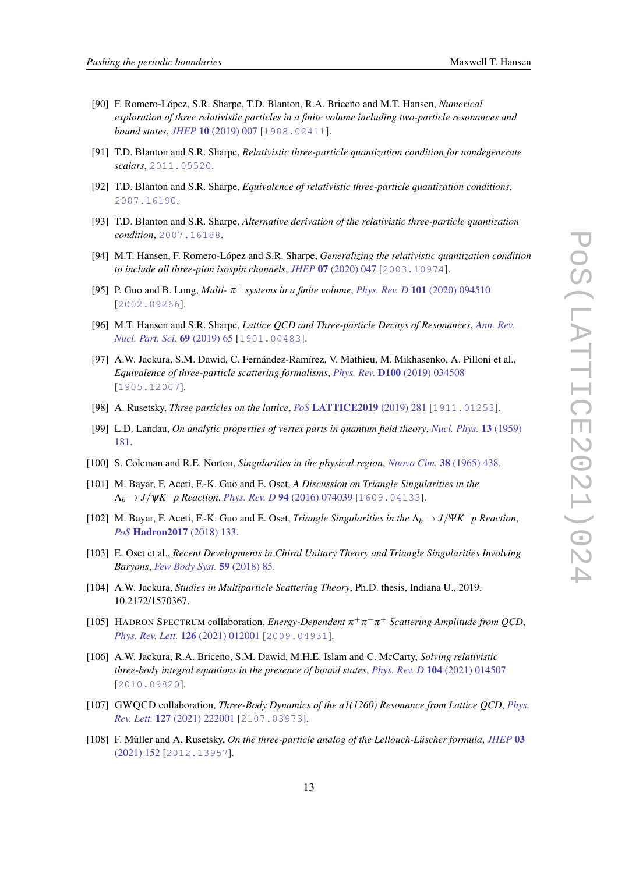- [90] F. Romero-López, S.R. Sharpe, T.D. Blanton, R.A. Briceño and M.T. Hansen, *Numerical exploration of three relativistic particles in a finite volume including two-particle resonances and bound states*, *JHEP* 10 [\(2019\) 007](https://doi.org/10.1007/JHEP10(2019)007) [[1908.02411](https://arxiv.org/abs/1908.02411)].
- [91] T.D. Blanton and S.R. Sharpe, *Relativistic three-particle quantization condition for nondegenerate scalars*, [2011.05520](https://arxiv.org/abs/2011.05520).
- [92] T.D. Blanton and S.R. Sharpe, *Equivalence of relativistic three-particle quantization conditions*, [2007.16190](https://arxiv.org/abs/2007.16190).
- [93] T.D. Blanton and S.R. Sharpe, *Alternative derivation of the relativistic three-particle quantization condition*, [2007.16188](https://arxiv.org/abs/2007.16188).
- [94] M.T. Hansen, F. Romero-López and S.R. Sharpe, *Generalizing the relativistic quantization condition to include all three-pion isospin channels*, *JHEP* 07 [\(2020\) 047](https://doi.org/10.1007/JHEP07(2020)047) [[2003.10974](https://arxiv.org/abs/2003.10974)].
- [95] P. Guo and B. Long, *Multi-* π <sup>+</sup> *systems in a finite volume*, *Phys. Rev. D* 101 [\(2020\) 094510](https://doi.org/10.1103/PhysRevD.101.094510) [[2002.09266](https://arxiv.org/abs/2002.09266)].
- [96] M.T. Hansen and S.R. Sharpe, *Lattice QCD and Three-particle Decays of Resonances*, *[Ann. Rev.](https://doi.org/10.1146/annurev-nucl-101918-023723) [Nucl. Part. Sci.](https://doi.org/10.1146/annurev-nucl-101918-023723)* 69 (2019) 65 [[1901.00483](https://arxiv.org/abs/1901.00483)].
- [97] A.W. Jackura, S.M. Dawid, C. Fernández-Ramírez, V. Mathieu, M. Mikhasenko, A. Pilloni et al., *Equivalence of three-particle scattering formalisms*, *Phys. Rev.* D100 [\(2019\) 034508](https://doi.org/10.1103/PhysRevD.100.034508) [[1905.12007](https://arxiv.org/abs/1905.12007)].
- [98] A. Rusetsky, *Three particles on the lattice*, *PoS* [LATTICE2019](https://doi.org/10.22323/1.363.0281) (2019) 281 [[1911.01253](https://arxiv.org/abs/1911.01253)].
- [99] L.D. Landau, *On analytic properties of vertex parts in quantum field theory*, *[Nucl. Phys.](https://doi.org/10.1016/B978-0-08-010586-4.50103-6)* 13 (1959) [181](https://doi.org/10.1016/B978-0-08-010586-4.50103-6).
- [100] S. Coleman and R.E. Norton, *Singularities in the physical region*, *[Nuovo Cim.](https://doi.org/10.1007/BF02750472)* 38 (1965) 438.
- [101] M. Bayar, F. Aceti, F.-K. Guo and E. Oset, *A Discussion on Triangle Singularities in the* Λ*<sup>b</sup>* → *J*/ψ*K* − *p Reaction*, *Phys. Rev. D* 94 [\(2016\) 074039](https://doi.org/10.1103/PhysRevD.94.074039) [[1609.04133](https://arxiv.org/abs/1609.04133)].
- [102] M. Bayar, F. Aceti, F.-K. Guo and E. Oset, *Triangle Singularities in the*  $\Lambda_b \to J/\Psi K^- p$  Reaction, *PoS* [Hadron2017](https://doi.org/10.22323/1.310.0133) (2018) 133.
- [103] E. Oset et al., *Recent Developments in Chiral Unitary Theory and Triangle Singularities Involving Baryons*, *[Few Body Syst.](https://doi.org/10.1007/s00601-018-1407-6)* 59 (2018) 85.
- [104] A.W. Jackura, *Studies in Multiparticle Scattering Theory*, Ph.D. thesis, Indiana U., 2019. 10.2172/1570367.
- [105] HADRON SPECTRUM collaboration, *Energy-Dependent*  $\pi^+\pi^+\pi^+$  *Scattering Amplitude from QCD*, *[Phys. Rev. Lett.](https://doi.org/10.1103/PhysRevLett.126.012001)* 126 (2021) 012001 [[2009.04931](https://arxiv.org/abs/2009.04931)].
- [106] A.W. Jackura, R.A. Briceño, S.M. Dawid, M.H.E. Islam and C. McCarty, *Solving relativistic three-body integral equations in the presence of bound states*, *Phys. Rev. D* 104 [\(2021\) 014507](https://doi.org/10.1103/PhysRevD.104.014507) [[2010.09820](https://arxiv.org/abs/2010.09820)].
- [107] GWQCD collaboration, *Three-Body Dynamics of the a1(1260) Resonance from Lattice QCD*, *[Phys.](https://doi.org/10.1103/PhysRevLett.127.222001) Rev. Lett.* 127 [\(2021\) 222001](https://doi.org/10.1103/PhysRevLett.127.222001) [[2107.03973](https://arxiv.org/abs/2107.03973)].
- [108] F. Müller and A. Rusetsky, *On the three-particle analog of the Lellouch-Lüscher formula*, *[JHEP](https://doi.org/10.1007/JHEP03(2021)152)* 03 [\(2021\) 152](https://doi.org/10.1007/JHEP03(2021)152) [[2012.13957](https://arxiv.org/abs/2012.13957)].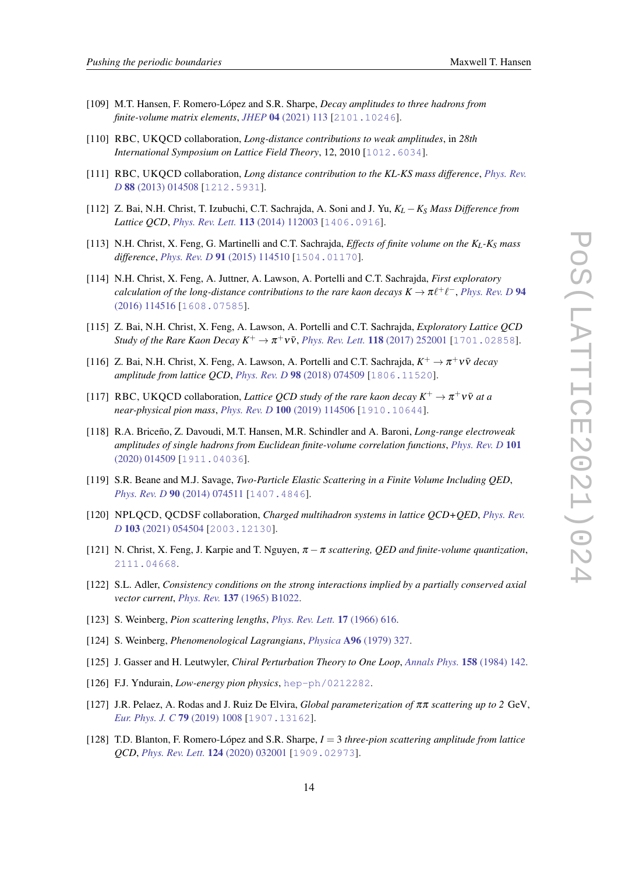- [109] M.T. Hansen, F. Romero-López and S.R. Sharpe, *Decay amplitudes to three hadrons from finite-volume matrix elements*, *JHEP* 04 [\(2021\) 113](https://doi.org/10.1007/JHEP04(2021)113) [[2101.10246](https://arxiv.org/abs/2101.10246)].
- [110] RBC, UKQCD collaboration, *Long-distance contributions to weak amplitudes*, in *28th International Symposium on Lattice Field Theory*, 12, 2010 [[1012.6034](https://arxiv.org/abs/1012.6034)].
- [111] RBC, UKQCD collaboration, *Long distance contribution to the KL-KS mass difference*, *[Phys. Rev.](https://doi.org/10.1103/PhysRevD.88.014508) D* 88 [\(2013\) 014508](https://doi.org/10.1103/PhysRevD.88.014508) [[1212.5931](https://arxiv.org/abs/1212.5931)].
- [112] Z. Bai, N.H. Christ, T. Izubuchi, C.T. Sachrajda, A. Soni and J. Yu, *K<sup>L</sup>* −*K<sup>S</sup> Mass Difference from Lattice QCD*, *[Phys. Rev. Lett.](https://doi.org/10.1103/PhysRevLett.113.112003)* 113 (2014) 112003 [[1406.0916](https://arxiv.org/abs/1406.0916)].
- [113] N.H. Christ, X. Feng, G. Martinelli and C.T. Sachrajda, *Effects of finite volume on the KL-K<sup>S</sup> mass difference*, *Phys. Rev. D* 91 [\(2015\) 114510](https://doi.org/10.1103/PhysRevD.91.114510) [[1504.01170](https://arxiv.org/abs/1504.01170)].
- [114] N.H. Christ, X. Feng, A. Juttner, A. Lawson, A. Portelli and C.T. Sachrajda, *First exploratory calculation of the long-distance contributions to the rare kaon decays*  $K \to \pi \ell^+ \ell^-$ , *[Phys. Rev. D](https://doi.org/10.1103/PhysRevD.94.114516)* 94 [\(2016\) 114516](https://doi.org/10.1103/PhysRevD.94.114516) [[1608.07585](https://arxiv.org/abs/1608.07585)].
- [115] Z. Bai, N.H. Christ, X. Feng, A. Lawson, A. Portelli and C.T. Sachrajda, *Exploratory Lattice QCD Study of the Rare Kaon Decay*  $K^+ \to \pi^+ \nu \bar{\nu}$ , *[Phys. Rev. Lett.](https://doi.org/10.1103/PhysRevLett.118.252001)* **118** (2017) 252001 [[1701.02858](https://arxiv.org/abs/1701.02858)].
- [116] Z. Bai, N.H. Christ, X. Feng, A. Lawson, A. Portelli and C.T. Sachrajda,  $K^+ \to \pi^+ \nu \bar{\nu}$  *decay amplitude from lattice QCD*, *Phys. Rev. D* 98 [\(2018\) 074509](https://doi.org/10.1103/PhysRevD.98.074509) [[1806.11520](https://arxiv.org/abs/1806.11520)].
- [117] RBC, UKQCD collaboration, *Lattice QCD study of the rare kaon decay*  $K^+ \to \pi^+ \nu \bar{\nu}$  *at a near-physical pion mass*, *Phys. Rev. D* 100 [\(2019\) 114506](https://doi.org/10.1103/PhysRevD.100.114506) [[1910.10644](https://arxiv.org/abs/1910.10644)].
- [118] R.A. Briceño, Z. Davoudi, M.T. Hansen, M.R. Schindler and A. Baroni, *Long-range electroweak amplitudes of single hadrons from Euclidean finite-volume correlation functions*, *[Phys. Rev. D](https://doi.org/10.1103/PhysRevD.101.014509)* 101 [\(2020\) 014509](https://doi.org/10.1103/PhysRevD.101.014509) [[1911.04036](https://arxiv.org/abs/1911.04036)].
- [119] S.R. Beane and M.J. Savage, *Two-Particle Elastic Scattering in a Finite Volume Including QED*, *Phys. Rev. D* 90 [\(2014\) 074511](https://doi.org/10.1103/PhysRevD.90.074511) [[1407.4846](https://arxiv.org/abs/1407.4846)].
- [120] NPLQCD, QCDSF collaboration, *Charged multihadron systems in lattice QCD+QED*, *[Phys. Rev.](https://doi.org/10.1103/PhysRevD.103.054504) D* 103 [\(2021\) 054504](https://doi.org/10.1103/PhysRevD.103.054504) [[2003.12130](https://arxiv.org/abs/2003.12130)].
- [121] N. Christ, X. Feng, J. Karpie and T. Nguyen, π −π *scattering, QED and finite-volume quantization*, [2111.04668](https://arxiv.org/abs/2111.04668).
- [122] S.L. Adler, *Consistency conditions on the strong interactions implied by a partially conserved axial vector current*, *Phys. Rev.* 137 [\(1965\) B1022](https://doi.org/10.1103/PhysRev.137.B1022).
- [123] S. Weinberg, *Pion scattering lengths*, *[Phys. Rev. Lett.](https://doi.org/10.1103/PhysRevLett.17.616)* 17 (1966) 616.
- [124] S. Weinberg, *Phenomenological Lagrangians*, *Physica* A96 [\(1979\) 327.](https://doi.org/10.1016/0378-4371(79)90223-1)
- [125] J. Gasser and H. Leutwyler, *Chiral Perturbation Theory to One Loop*, *[Annals Phys.](https://doi.org/10.1016/0003-4916(84)90242-2)* 158 (1984) 142.
- [126] F.J. Yndurain, *Low-energy pion physics*, [hep-ph/0212282](https://arxiv.org/abs/hep-ph/0212282).
- [127] J.R. Pelaez, A. Rodas and J. Ruiz De Elvira, *Global parameterization of* ππ *scattering up to 2* GeV, *[Eur. Phys. J. C](https://doi.org/10.1140/epjc/s10052-019-7509-6)* 79 (2019) 1008 [[1907.13162](https://arxiv.org/abs/1907.13162)].
- [128] T.D. Blanton, F. Romero-López and S.R. Sharpe, *I* = 3 *three-pion scattering amplitude from lattice QCD*, *[Phys. Rev. Lett.](https://doi.org/10.1103/PhysRevLett.124.032001)* 124 (2020) 032001 [[1909.02973](https://arxiv.org/abs/1909.02973)].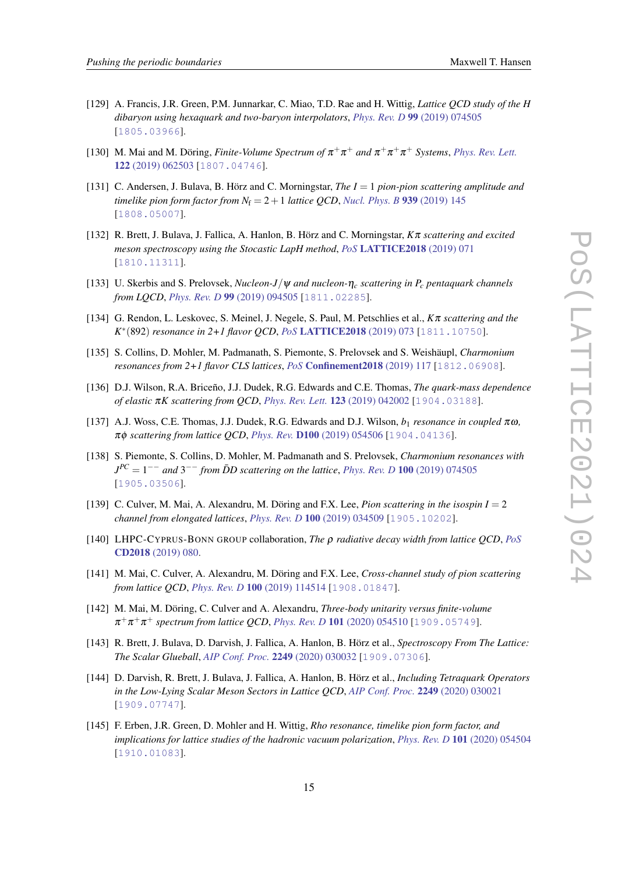- [129] A. Francis, J.R. Green, P.M. Junnarkar, C. Miao, T.D. Rae and H. Wittig, *Lattice QCD study of the H dibaryon using hexaquark and two-baryon interpolators*, *Phys. Rev. D* 99 [\(2019\) 074505](https://doi.org/10.1103/PhysRevD.99.074505) [[1805.03966](https://arxiv.org/abs/1805.03966)].
- [130] M. Mai and M. Döring, *Finite-Volume Spectrum of*  $\pi^+\pi^+$  and  $\pi^+\pi^+\pi^+$  *Systems, [Phys. Rev. Lett.](https://doi.org/10.1103/PhysRevLett.122.062503)* 122 [\(2019\) 062503](https://doi.org/10.1103/PhysRevLett.122.062503) [[1807.04746](https://arxiv.org/abs/1807.04746)].
- [131] C. Andersen, J. Bulava, B. Hörz and C. Morningstar, *The I* = 1 *pion-pion scattering amplitude and timelike pion form factor from*  $N_f = 2 + 1$  *lattice OCD*, *[Nucl. Phys. B](https://doi.org/10.1016/j.nuclphysb.2018.12.018)* 939 (2019) 145 [[1808.05007](https://arxiv.org/abs/1808.05007)].
- [132] R. Brett, J. Bulava, J. Fallica, A. Hanlon, B. Hörz and C. Morningstar, *K*π *scattering and excited meson spectroscopy using the Stocastic LapH method*, *PoS* [LATTICE2018](https://doi.org/10.22323/1.334.0071) (2019) 071 [[1810.11311](https://arxiv.org/abs/1810.11311)].
- [133] U. Skerbis and S. Prelovsek, *Nucleon-J*/ψ *and nucleon-*η*<sup>c</sup> scattering in P<sup>c</sup> pentaquark channels from LQCD*, *Phys. Rev. D* 99 [\(2019\) 094505](https://doi.org/10.1103/PhysRevD.99.094505) [[1811.02285](https://arxiv.org/abs/1811.02285)].
- [134] G. Rendon, L. Leskovec, S. Meinel, J. Negele, S. Paul, M. Petschlies et al., *K*π *scattering and the K*<sup>\*</sup>(892) *resonance in 2+1 flavor QCD*, *PoS* [LATTICE2018](https://doi.org/10.22323/1.334.0073) (2019) 073 [[1811.10750](https://arxiv.org/abs/1811.10750)].
- [135] S. Collins, D. Mohler, M. Padmanath, S. Piemonte, S. Prelovsek and S. Weishäupl, *Charmonium resonances from 2+1 flavor CLS lattices*, *PoS* [Confinement2018](https://doi.org/10.22323/1.336.0117) (2019) 117 [[1812.06908](https://arxiv.org/abs/1812.06908)].
- [136] D.J. Wilson, R.A. Briceño, J.J. Dudek, R.G. Edwards and C.E. Thomas, *The quark-mass dependence of elastic* π*K scattering from QCD*, *[Phys. Rev. Lett.](https://doi.org/10.1103/PhysRevLett.123.042002)* 123 (2019) 042002 [[1904.03188](https://arxiv.org/abs/1904.03188)].
- [137] A.J. Woss, C.E. Thomas, J.J. Dudek, R.G. Edwards and D.J. Wilson,  $b_1$  *resonance in coupled*  $\pi \omega$ *,* πφ *scattering from lattice QCD*, *Phys. Rev.* D100 [\(2019\) 054506](https://doi.org/10.1103/PhysRevD.100.054506) [[1904.04136](https://arxiv.org/abs/1904.04136)].
- [138] S. Piemonte, S. Collins, D. Mohler, M. Padmanath and S. Prelovsek, *Charmonium resonances with*  $J^{PC} = 1^{--}$  *and* 3<sup> $--$ </sup> *from*  $\bar{D}D$  *scattering on the lattice*, *Phys. Rev.* D 100 [\(2019\) 074505](https://doi.org/10.1103/PhysRevD.100.074505) [[1905.03506](https://arxiv.org/abs/1905.03506)].
- [139] C. Culver, M. Mai, A. Alexandru, M. Döring and F.X. Lee, *Pion scattering in the isospin I* = 2 *channel from elongated lattices*, *Phys. Rev. D* 100 [\(2019\) 034509](https://doi.org/10.1103/PhysRevD.100.034509) [[1905.10202](https://arxiv.org/abs/1905.10202)].
- [140] LHPC-CYPRUS-BONN GROUP collaboration, *The* ρ *radiative decay width from lattice QCD*, *[PoS](https://doi.org/10.22323/1.317.0080)* CD2018 [\(2019\) 080](https://doi.org/10.22323/1.317.0080).
- [141] M. Mai, C. Culver, A. Alexandru, M. Döring and F.X. Lee, *Cross-channel study of pion scattering from lattice QCD*, *Phys. Rev. D* 100 [\(2019\) 114514](https://doi.org/10.1103/PhysRevD.100.114514) [[1908.01847](https://arxiv.org/abs/1908.01847)].
- [142] M. Mai, M. Döring, C. Culver and A. Alexandru, *Three-body unitarity versus finite-volume*  $\pi^+\pi^+\pi^+$  spectrum from lattice QCD, *Phys. Rev. D* 101 [\(2020\) 054510](https://doi.org/10.1103/PhysRevD.101.054510) [[1909.05749](https://arxiv.org/abs/1909.05749)].
- [143] R. Brett, J. Bulava, D. Darvish, J. Fallica, A. Hanlon, B. Hörz et al., *Spectroscopy From The Lattice: The Scalar Glueball*, *[AIP Conf. Proc.](https://doi.org/10.1063/5.0008566)* 2249 (2020) 030032 [[1909.07306](https://arxiv.org/abs/1909.07306)].
- [144] D. Darvish, R. Brett, J. Bulava, J. Fallica, A. Hanlon, B. Hörz et al., *Including Tetraquark Operators in the Low-Lying Scalar Meson Sectors in Lattice QCD*, *[AIP Conf. Proc.](https://doi.org/10.1063/5.0008966)* 2249 (2020) 030021 [[1909.07747](https://arxiv.org/abs/1909.07747)].
- [145] F. Erben, J.R. Green, D. Mohler and H. Wittig, *Rho resonance, timelike pion form factor, and implications for lattice studies of the hadronic vacuum polarization, Phys. Rev. D 101 [\(2020\) 054504](https://doi.org/10.1103/PhysRevD.101.054504)* [[1910.01083](https://arxiv.org/abs/1910.01083)].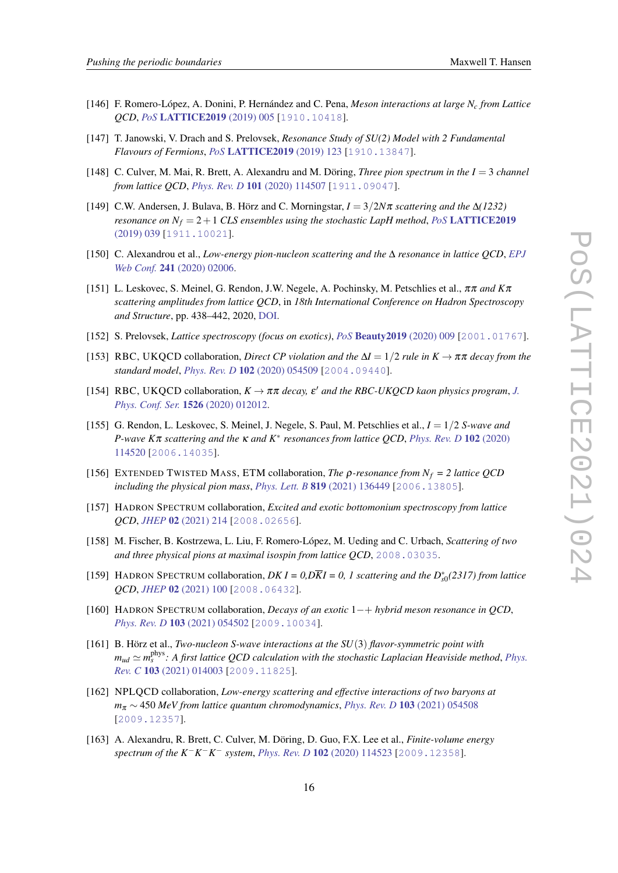- [146] F. Romero-López, A. Donini, P. Hernández and C. Pena, *Meson interactions at large N<sup>c</sup> from Lattice QCD*, *PoS* [LATTICE2019](https://doi.org/10.22323/1.363.0005) (2019) 005 [[1910.10418](https://arxiv.org/abs/1910.10418)].
- [147] T. Janowski, V. Drach and S. Prelovsek, *Resonance Study of SU(2) Model with 2 Fundamental Flavours of Fermions*, *PoS* [LATTICE2019](https://doi.org/10.22323/1.363.0123) (2019) 123 [[1910.13847](https://arxiv.org/abs/1910.13847)].
- [148] C. Culver, M. Mai, R. Brett, A. Alexandru and M. Döring, *Three pion spectrum in the I* = 3 *channel from lattice QCD*, *Phys. Rev. D* 101 [\(2020\) 114507](https://doi.org/10.1103/PhysRevD.101.114507) [[1911.09047](https://arxiv.org/abs/1911.09047)].
- [149] C.W. Andersen, J. Bulava, B. Hörz and C. Morningstar, *I* = 3/2*N*π *scattering and the* ∆*(1232) resonance on*  $N_f = 2 + 1$  *CLS ensembles using the stochastic LapH method, PoS* [LATTICE2019](https://doi.org/10.22323/1.363.0039) [\(2019\) 039](https://doi.org/10.22323/1.363.0039) [[1911.10021](https://arxiv.org/abs/1911.10021)].
- [150] C. Alexandrou et al., *Low-energy pion-nucleon scattering and the* ∆ *resonance in lattice QCD*, *[EPJ](https://doi.org/10.1051/epjconf/202024102006) Web Conf.* 241 [\(2020\) 02006](https://doi.org/10.1051/epjconf/202024102006).
- [151] L. Leskovec, S. Meinel, G. Rendon, J.W. Negele, A. Pochinsky, M. Petschlies et al., ππ *and K*π *scattering amplitudes from lattice QCD*, in *18th International Conference on Hadron Spectroscopy and Structure*, pp. 438–442, 2020, [DOI.](https://doi.org/10.1142/9789811219313_0073)
- [152] S. Prelovsek, *Lattice spectroscopy (focus on exotics)*, *PoS* [Beauty2019](https://doi.org/10.22323/1.377.0009) (2020) 009 [[2001.01767](https://arxiv.org/abs/2001.01767)].
- [153] RBC, UKQCD collaboration, *Direct CP violation and the* ∆*I* = 1/2 *rule in K* → ππ *decay from the standard model*, *Phys. Rev. D* 102 [\(2020\) 054509](https://doi.org/10.1103/PhysRevD.102.054509) [[2004.09440](https://arxiv.org/abs/2004.09440)].
- [154] RBC, UKQCD collaboration,  $K \to \pi \pi$  *decay,*  $\varepsilon'$  *and the RBC-UKQCD kaon physics program, [J.](https://doi.org/10.1088/1742-6596/1526/1/012012) [Phys. Conf. Ser.](https://doi.org/10.1088/1742-6596/1526/1/012012)* 1526 (2020) 012012.
- [155] G. Rendon, L. Leskovec, S. Meinel, J. Negele, S. Paul, M. Petschlies et al., *I* = 1/2 *S-wave and P-wave K*π *scattering and the* κ *and K*<sup>∗</sup> *resonances from lattice QCD*, *[Phys. Rev. D](https://doi.org/10.1103/PhysRevD.102.114520)* 102 (2020) [114520](https://doi.org/10.1103/PhysRevD.102.114520) [[2006.14035](https://arxiv.org/abs/2006.14035)].
- [156] EXTENDED TWISTED MASS, ETM collaboration, *The* ρ*-resonance from N<sup>f</sup> = 2 lattice QCD including the physical pion mass*, *Phys. Lett. B* 819 [\(2021\) 136449](https://doi.org/10.1016/j.physletb.2021.136449) [[2006.13805](https://arxiv.org/abs/2006.13805)].
- [157] HADRON SPECTRUM collaboration, *Excited and exotic bottomonium spectroscopy from lattice QCD*, *JHEP* 02 [\(2021\) 214](https://doi.org/10.1007/JHEP02(2021)214) [[2008.02656](https://arxiv.org/abs/2008.02656)].
- [158] M. Fischer, B. Kostrzewa, L. Liu, F. Romero-López, M. Ueding and C. Urbach, *Scattering of two and three physical pions at maximal isospin from lattice QCD*, [2008.03035](https://arxiv.org/abs/2008.03035).
- [159] HADRON SPECTRUM collaboration,  $DKI = 0$ ,  $\overline{K}I = 0$ , 1 scattering and the  $D_{s0}^{*}(2317)$  from lattice *QCD*, *JHEP* 02 [\(2021\) 100](https://doi.org/10.1007/JHEP02(2021)100) [[2008.06432](https://arxiv.org/abs/2008.06432)].
- [160] HADRON SPECTRUM collaboration, *Decays of an exotic* 1−+ *hybrid meson resonance in QCD*, *Phys. Rev. D* 103 [\(2021\) 054502](https://doi.org/10.1103/PhysRevD.103.054502) [[2009.10034](https://arxiv.org/abs/2009.10034)].
- [161] B. Hörz et al., *Two-nucleon S-wave interactions at the SU*(3) *flavor-symmetric point with*  $m_{ud} \simeq m_s^{\text{phys}}$ : A first lattice QCD calculation with the stochastic Laplacian Heaviside method, [Phys.](https://doi.org/10.1103/PhysRevC.103.014003) *Rev. C* 103 [\(2021\) 014003](https://doi.org/10.1103/PhysRevC.103.014003) [[2009.11825](https://arxiv.org/abs/2009.11825)].
- [162] NPLQCD collaboration, *Low-energy scattering and effective interactions of two baryons at m*<sub>π</sub> ∼ 450 *MeV from lattice quantum chromodynamics, Phys. Rev. D* 103 [\(2021\) 054508](https://doi.org/10.1103/PhysRevD.103.054508) [[2009.12357](https://arxiv.org/abs/2009.12357)].
- [163] A. Alexandru, R. Brett, C. Culver, M. Döring, D. Guo, F.X. Lee et al., *Finite-volume energy spectrum of the K*−*K* −*K* − *system*, *Phys. Rev. D* 102 [\(2020\) 114523](https://doi.org/10.1103/PhysRevD.102.114523) [[2009.12358](https://arxiv.org/abs/2009.12358)].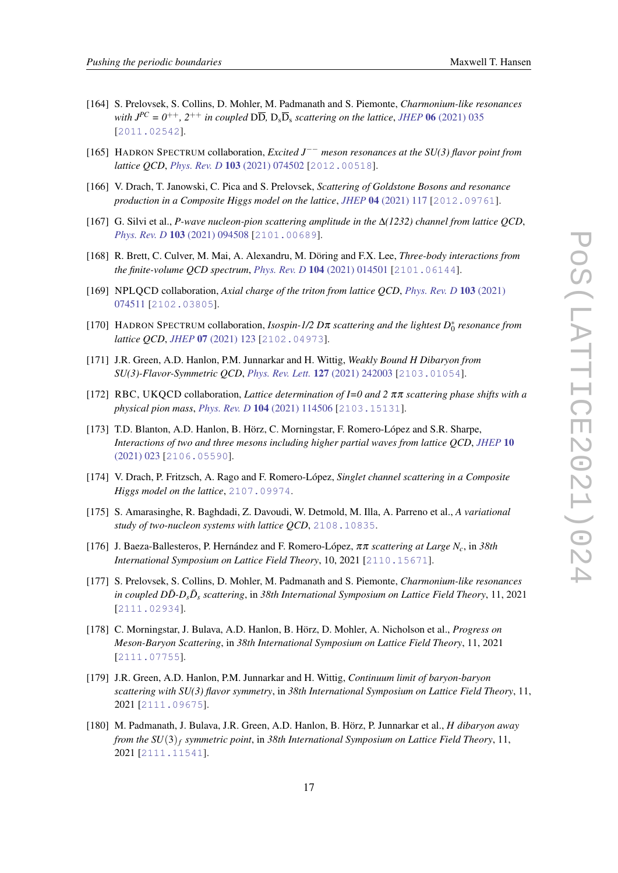- [164] S. Prelovsek, S. Collins, D. Mohler, M. Padmanath and S. Piemonte, *Charmonium-like resonances with*  $J^{PC} = 0^{++}$ ,  $2^{++}$  *in coupled*  $D\overline{D}$ ,  $D_s\overline{D}_s$  *scattering on the lattice*, *JHEP* 06 [\(2021\) 035](https://doi.org/10.1007/JHEP06(2021)035) [[2011.02542](https://arxiv.org/abs/2011.02542)].
- [165] HADRON SPECTRUM collaboration, *Excited J*−− *meson resonances at the SU(3) flavor point from lattice QCD*, *Phys. Rev. D* 103 [\(2021\) 074502](https://doi.org/10.1103/PhysRevD.103.074502) [[2012.00518](https://arxiv.org/abs/2012.00518)].
- [166] V. Drach, T. Janowski, C. Pica and S. Prelovsek, *Scattering of Goldstone Bosons and resonance production in a Composite Higgs model on the lattice*, *JHEP* 04 [\(2021\) 117](https://doi.org/10.1007/JHEP04(2021)117) [[2012.09761](https://arxiv.org/abs/2012.09761)].
- [167] G. Silvi et al., *P-wave nucleon-pion scattering amplitude in the* ∆*(1232) channel from lattice QCD*, *Phys. Rev. D* 103 [\(2021\) 094508](https://doi.org/10.1103/PhysRevD.103.094508) [[2101.00689](https://arxiv.org/abs/2101.00689)].
- [168] R. Brett, C. Culver, M. Mai, A. Alexandru, M. Döring and F.X. Lee, *Three-body interactions from the finite-volume QCD spectrum*, *Phys. Rev. D* 104 [\(2021\) 014501](https://doi.org/10.1103/PhysRevD.104.014501) [[2101.06144](https://arxiv.org/abs/2101.06144)].
- [169] NPLQCD collaboration, *Axial charge of the triton from lattice QCD*, *[Phys. Rev. D](https://doi.org/10.1103/PhysRevD.103.074511)* 103 (2021) [074511](https://doi.org/10.1103/PhysRevD.103.074511) [[2102.03805](https://arxiv.org/abs/2102.03805)].
- [170] HADRON SPECTRUM collaboration, *Isospin-1/2 D*π *scattering and the lightest D*<sup>∗</sup> 0 *resonance from lattice QCD*, *JHEP* 07 [\(2021\) 123](https://doi.org/10.1007/JHEP07(2021)123) [[2102.04973](https://arxiv.org/abs/2102.04973)].
- [171] J.R. Green, A.D. Hanlon, P.M. Junnarkar and H. Wittig, *Weakly Bound H Dibaryon from SU(3)-Flavor-Symmetric QCD*, *[Phys. Rev. Lett.](https://doi.org/10.1103/PhysRevLett.127.242003)* 127 (2021) 242003 [[2103.01054](https://arxiv.org/abs/2103.01054)].
- [172] RBC, UKQCD collaboration, *Lattice determination of I=0 and 2* ππ *scattering phase shifts with a physical pion mass*, *Phys. Rev. D* 104 [\(2021\) 114506](https://doi.org/10.1103/PhysRevD.104.114506) [[2103.15131](https://arxiv.org/abs/2103.15131)].
- [173] T.D. Blanton, A.D. Hanlon, B. Hörz, C. Morningstar, F. Romero-López and S.R. Sharpe, *Interactions of two and three mesons including higher partial waves from lattice QCD*, *[JHEP](https://doi.org/10.1007/JHEP10(2021)023)* 10 [\(2021\) 023](https://doi.org/10.1007/JHEP10(2021)023) [[2106.05590](https://arxiv.org/abs/2106.05590)].
- [174] V. Drach, P. Fritzsch, A. Rago and F. Romero-López, *Singlet channel scattering in a Composite Higgs model on the lattice*, [2107.09974](https://arxiv.org/abs/2107.09974).
- [175] S. Amarasinghe, R. Baghdadi, Z. Davoudi, W. Detmold, M. Illa, A. Parreno et al., *A variational study of two-nucleon systems with lattice QCD*, [2108.10835](https://arxiv.org/abs/2108.10835).
- [176] J. Baeza-Ballesteros, P. Hernández and F. Romero-López, ππ *scattering at Large Nc*, in *38th International Symposium on Lattice Field Theory*, 10, 2021 [[2110.15671](https://arxiv.org/abs/2110.15671)].
- [177] S. Prelovsek, S. Collins, D. Mohler, M. Padmanath and S. Piemonte, *Charmonium-like resonances in coupled DD-D*<sub>s</sub> $\bar{D}_s$  *scattering*, in 38th International Symposium on Lattice Field Theory, 11, 2021 [[2111.02934](https://arxiv.org/abs/2111.02934)].
- [178] C. Morningstar, J. Bulava, A.D. Hanlon, B. Hörz, D. Mohler, A. Nicholson et al., *Progress on Meson-Baryon Scattering*, in *38th International Symposium on Lattice Field Theory*, 11, 2021 [[2111.07755](https://arxiv.org/abs/2111.07755)].
- [179] J.R. Green, A.D. Hanlon, P.M. Junnarkar and H. Wittig, *Continuum limit of baryon-baryon scattering with SU(3) flavor symmetry*, in *38th International Symposium on Lattice Field Theory*, 11, 2021 [[2111.09675](https://arxiv.org/abs/2111.09675)].
- [180] M. Padmanath, J. Bulava, J.R. Green, A.D. Hanlon, B. Hörz, P. Junnarkar et al., *H dibaryon away from the SU*(3)*<sup>f</sup> symmetric point*, in *38th International Symposium on Lattice Field Theory*, 11, 2021 [[2111.11541](https://arxiv.org/abs/2111.11541)].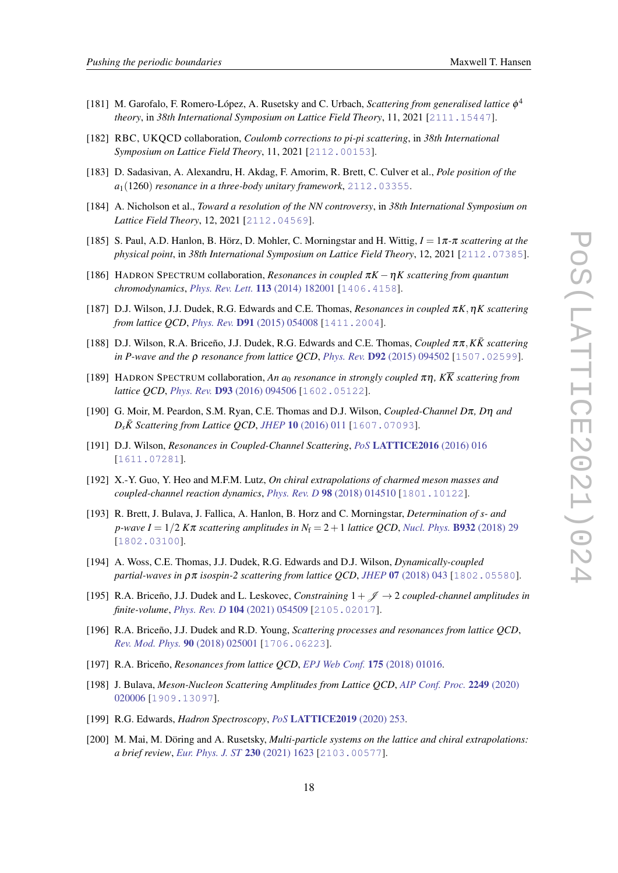- [181] M. Garofalo, F. Romero-López, A. Rusetsky and C. Urbach, *Scattering from generalised lattice* φ 4 *theory*, in *38th International Symposium on Lattice Field Theory*, 11, 2021 [[2111.15447](https://arxiv.org/abs/2111.15447)].
- [182] RBC, UKQCD collaboration, *Coulomb corrections to pi-pi scattering*, in *38th International Symposium on Lattice Field Theory*, 11, 2021 [[2112.00153](https://arxiv.org/abs/2112.00153)].
- [183] D. Sadasivan, A. Alexandru, H. Akdag, F. Amorim, R. Brett, C. Culver et al., *Pole position of the a*1(1260) *resonance in a three-body unitary framework*, [2112.03355](https://arxiv.org/abs/2112.03355).
- [184] A. Nicholson et al., *Toward a resolution of the NN controversy*, in *38th International Symposium on Lattice Field Theory*, 12, 2021 [[2112.04569](https://arxiv.org/abs/2112.04569)].
- [185] S. Paul, A.D. Hanlon, B. Hörz, D. Mohler, C. Morningstar and H. Wittig, *I* = 1π*-*π *scattering at the physical point*, in *38th International Symposium on Lattice Field Theory*, 12, 2021 [[2112.07385](https://arxiv.org/abs/2112.07385)].
- [186] HADRON SPECTRUM collaboration, *Resonances in coupled* π*K* −η*K scattering from quantum chromodynamics*, *[Phys. Rev. Lett.](https://doi.org/10.1103/PhysRevLett.113.182001)* 113 (2014) 182001 [[1406.4158](https://arxiv.org/abs/1406.4158)].
- [187] D.J. Wilson, J.J. Dudek, R.G. Edwards and C.E. Thomas, *Resonances in coupled* π*K*,η*K scattering from lattice QCD*, *Phys. Rev.* D91 [\(2015\) 054008](https://doi.org/10.1103/PhysRevD.91.054008) [[1411.2004](https://arxiv.org/abs/1411.2004)].
- [188] D.J. Wilson, R.A. Briceño, J.J. Dudek, R.G. Edwards and C.E. Thomas, *Coupled* ππ,*KK scattering* ¯ *in P-wave and the* ρ *resonance from lattice QCD*, *Phys. Rev.* D92 [\(2015\) 094502](https://doi.org/10.1103/PhysRevD.92.094502) [[1507.02599](https://arxiv.org/abs/1507.02599)].
- [189] HADRON SPECTRUM collaboration, *An a*<sup>0</sup> *resonance in strongly coupled* πη*, KK scattering from lattice QCD*, *Phys. Rev.* D93 [\(2016\) 094506](https://doi.org/10.1103/PhysRevD.93.094506) [[1602.05122](https://arxiv.org/abs/1602.05122)].
- [190] G. Moir, M. Peardon, S.M. Ryan, C.E. Thomas and D.J. Wilson, *Coupled-Channel D*π*, D*η *and*  $D_s\bar{K}$  Scattering from Lattice QCD, JHEP 10 [\(2016\) 011](https://doi.org/10.1007/JHEP10(2016)011) [[1607.07093](https://arxiv.org/abs/1607.07093)].
- [191] D.J. Wilson, *Resonances in Coupled-Channel Scattering*, *PoS* [LATTICE2016](https://doi.org/10.22323/1.256.0016) (2016) 016 [[1611.07281](https://arxiv.org/abs/1611.07281)].
- [192] X.-Y. Guo, Y. Heo and M.F.M. Lutz, *On chiral extrapolations of charmed meson masses and coupled-channel reaction dynamics*, *Phys. Rev. D* 98 [\(2018\) 014510](https://doi.org/10.1103/PhysRevD.98.014510) [[1801.10122](https://arxiv.org/abs/1801.10122)].
- [193] R. Brett, J. Bulava, J. Fallica, A. Hanlon, B. Horz and C. Morningstar, *Determination of s- and p-wave I* =  $1/2$  *K* $\pi$  *scattering amplitudes in*  $N_f = 2 + 1$  *lattice QCD*, *[Nucl. Phys.](https://doi.org/10.1016/j.nuclphysb.2018.05.008)* **B932** (2018) 29 [[1802.03100](https://arxiv.org/abs/1802.03100)].
- [194] A. Woss, C.E. Thomas, J.J. Dudek, R.G. Edwards and D.J. Wilson, *Dynamically-coupled partial-waves in*  $\rho \pi$  *isospin-2 scattering from lattice OCD, JHEP* 07 [\(2018\) 043](https://doi.org/10.1007/JHEP07(2018)043) [[1802.05580](https://arxiv.org/abs/1802.05580)].
- [195] R.A. Briceño, J.J. Dudek and L. Leskovec, *Constraining*  $1 + \mathscr{J} \rightarrow 2$  *coupled-channel amplitudes in finite-volume*, *Phys. Rev. D* 104 [\(2021\) 054509](https://doi.org/10.1103/PhysRevD.104.054509) [[2105.02017](https://arxiv.org/abs/2105.02017)].
- [196] R.A. Briceño, J.J. Dudek and R.D. Young, *Scattering processes and resonances from lattice QCD*, *[Rev. Mod. Phys.](https://doi.org/10.1103/RevModPhys.90.025001)* 90 (2018) 025001 [[1706.06223](https://arxiv.org/abs/1706.06223)].
- [197] R.A. Briceño, *Resonances from lattice QCD*, *[EPJ Web Conf.](https://doi.org/10.1051/epjconf/201817501016)* 175 (2018) 01016.
- [198] J. Bulava, *Meson-Nucleon Scattering Amplitudes from Lattice QCD*, *[AIP Conf. Proc.](https://doi.org/10.1063/5.0008643)* 2249 (2020) [020006](https://doi.org/10.1063/5.0008643) [[1909.13097](https://arxiv.org/abs/1909.13097)].
- [199] R.G. Edwards, *Hadron Spectroscopy*, *PoS* [LATTICE2019](https://doi.org/10.22323/1.363.0253) (2020) 253.
- [200] M. Mai, M. Döring and A. Rusetsky, *Multi-particle systems on the lattice and chiral extrapolations: a brief review*, *[Eur. Phys. J. ST](https://doi.org/10.1140/epjs/s11734-021-00146-5)* 230 (2021) 1623 [[2103.00577](https://arxiv.org/abs/2103.00577)].